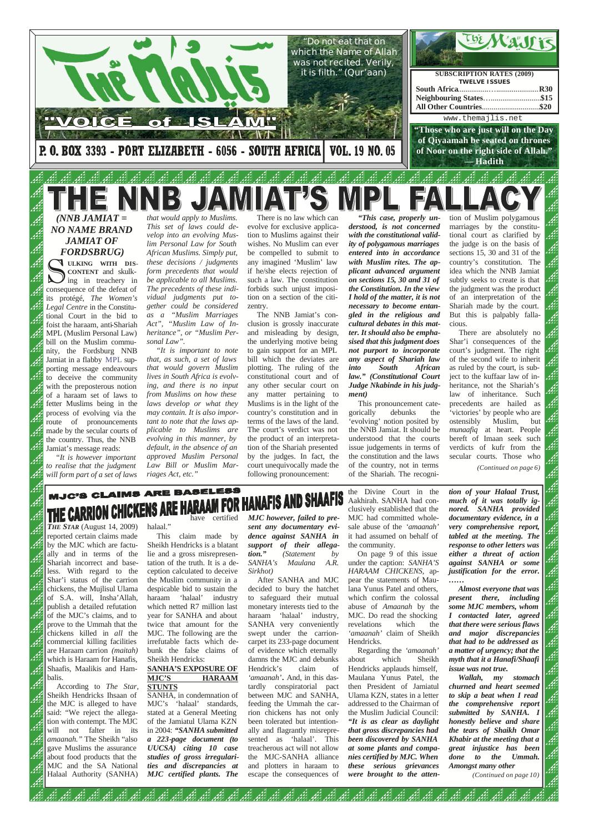## ARE BASELESS **MJC'S CLAIMS** JAFIS AND SHA **THE CARRION CHICKENS ARE**<br>*THE STAR* (August 14, 2009) halaal." have certified

reported certain claims made by the MJC which are factually and in terms of the Shariah incorrect and baseless. With regard to the Shar'i status of the carrion chickens, the Mujlisul Ulama of S.A. will, Insha'Allah, publish a detailed refutation of the MJC's claims, and to prove to the Ummah that the chickens killed in *all* the commercial killing facilities are Haraam carrion *(maitah)* which is Haraam for Hanafis, Shaafis, Maalikis and Hambalis. MJC. The following are the irrefutable facts which debunk the false claims of Sheikh Hendricks:

According to *The Star*, Sheikh Hendricks Ihsaan of the MJC is alleged to have said: "We reject the allegation with contempt. The MJC will not falter in its *amaanah."* The Sheikh "also gave Muslims the assurance about food products that the MJC and the SA National Halaal Authority (SANHA)

الثور الثور الثور<br>الثور الثور

لنفق

halaal."

This claim made by Sheikh Hendricks is a blatant lie and a gross misrepresentation of the truth. It is a deception calculated to deceive the Muslim community in a despicable bid to sustain the haraam 'halaal' industry which netted R7 million last year for SANHA and about twice that amount for the

**SANHA'S EXPOSURE OF MJC'S HARAAM STUNTS** SANHA, in condemnation of MJC's 'halaal' standards, stated at a General Meeting of the Jamiatul Ulama KZN in 2004: *"SANHA submitted a 223-page document (to UUCSA) citing 10 case studies of gross irregularities and discrepancies at MJC certified plants. The*

لنفق

*MJC however, failed to present any documentary evidence against SANHA in support of their allegation." (Statement by SANHA's Maulana A.R. Sirkhot)*

After SANHA and MJC decided to bury the hatchet to safeguard their mutual monetary interests tied to the haraam 'halaal' industry, SANHA very conveniently swept under the carrioncarpet its 233-page document of evidence which eternally damns the MJC and debunks Hendrick's claim of *'amaanah'***.** And, in this dastardly conspiratorial pact between MJC and SANHA, feeding the Ummah the carrion chickens has not only been tolerated but intentionally and flagrantly misrepresented as 'halaal'. This treacherous act will not allow the MJC-SANHA alliance and plotters in haraam to escape the consequences of

> الثق أثقف

S **ULKING WITH DIS-CONTENT** and skulking in treachery in consequence of the defeat of its protégé, *The Women's Legal Centre* in the Constitutional Court in the bid to foist the haraam, anti-Shariah MPL (Muslim Personal Law) bill on the Muslim community, the Fordsburg NNB Jamiat in a flabby MPL supporting message endeavours to deceive the community with the preposterous notion of a haraam set of laws to fetter Muslims being in the process of evolving via the route of pronouncements made by the secular courts of the country. Thus, the NNB Jamiat's message reads:

> the Divine Court in the Aakhirah. SANHA had conclusively established that the MJC had committed wholesale abuse of the *'amaanah'* it had assumed on behalf of the community.

> On page 9 of this issue under the caption: *SANHA'S HARAAM CHICKENS,* appear the statements of Maulana Yunus Patel and others, which confirm the colossal abuse of *Amaanah* by the MJC. Do read the shocking revelations which the

*'amaanah'* claim of Sheikh Hendricks.

Regarding the *'amaanah'*  about which Sheikh Hendricks applauds himself, Maulana Yunus Patel, the then President of Jamiatul Ulama KZN, states in a letter addressed to the Chairman of the Muslim Judicial Council: *"It is as clear as daylight that gross discrepancies had been discovered by SANHA at some plants and companies certified by MJC. When these serious grievances were brought to the atten-*

أثقف

*tion of your Halaal Trust, much of it was totally ignored. SANHA provided documentary evidence, in a very comprehensive report, tabled at the meeting. The response to other letters was either a threat of action against SANHA or some justification for the error. ……*

ر<br>دارو

*Almost everyone that was present there, including some MJC members, whom I contacted later, agreed that there were serious flaws* 

*and major discrepancies that had to be addressed as a matter of urgency; that the myth that it a Hanafi/Shaafi issue was not true.*

*Wallah, my stomach churned and heart seemed to skip a beat when I read the comprehensive report submitted by SANHA. I honestly believe and share the tears of Shaikh Omar Khabir at the meeting that a great injustice has been done to the Ummah. Amongst many other (Continued on page 10)*

ور ور 145<br>المحمد المحمد المحمد



*(NNB JAMIAT = NO NAME BRAND JAMIAT OF FORDSBRUG)*

*"It is however important to realise that the judgment will form part of a set of laws* 

*that would apply to Muslims. This set of laws could develop into an evolving Muslim Personal Law for South African Muslims. Simply put, these decisions / judgments form precedents that would be applicable to all Muslims. The precedents of these individual judgments put together could be considered as a "Muslim Marriages Act", "Muslim Law of Inheritance", or "Muslim Personal Law".*

*"It is important to note that, as such, a set of laws that would govern Muslim lives in South Africa is evolving, and there is no input from Muslims on how these laws develop or what they may contain. It is also important to note that the laws applicable to Muslims are evolving in this manner, by default, in the absence of an approved Muslim Personal Law Bill or Muslim Marriages Act, etc."*

There is no law which can evolve for exclusive application to Muslims against their wishes. No Muslim can ever be compelled to submit to any imagined 'Muslim' law if he/she elects rejection of such a law. The constitution forbids such unjust imposition on a section of the citizentry.

The NNB Jamiat's conclusion is grossly inaccurate and misleading by design, the underlying motive being to gain support for an MPL bill which the deviates are plotting. The ruling of the constitutional court and of any other secular court on any matter pertaining to Muslims is in the light of the country's constitution and in terms of the laws of the land. The court's verdict was not the product of an interpretation of the Shariah presented by the judges. In fact, the court unequivocally made the following pronouncement:

*"This case, properly understood, is not concerned with the constitutional validity of polygamous marriages entered into in accordance with Muslim rites. The applicant advanced argument on sections 15, 30 and 31 of the Constitution. In the view I hold of the matter, it is not necessary to become entangled in the religious and cultural debates in this matter. It should also be emphasised that this judgment does not purport to incorporate any aspect of Shariah law into South African law." (Constitutional Court Judge Nkabinde in his judgment)*

This pronouncement categorically debunks the 'evolving' notion posited by the NNB Jamiat. It should be understood that the courts issue judgements in terms of the constitution and the laws of the country, not in terms of the Shariah. The recogni-

tion of Muslim polygamous marriages by the constitutional court as clarified by the judge is on the basis of sections 15, 30 and 31 of the country's constitution. The idea which the NNB Jamiat subtly seeks to create is that the judgment was the product of an interpretation of the Shariah made by the court. But this is palpably fallacious.

There are absolutely no Shar'i consequences of the court's judgment. The right of the second wife to inherit as ruled by the court, is subject to the kuffaar law of inheritance, not the Shariah's law of inheritance. Such precedents are hailed as 'victories' by people who are ostensibly Muslim, but *munaafiq* at heart. People bereft of Imaan seek such verdicts of kufr from the secular courts. Those who

*(Continued on page 6)*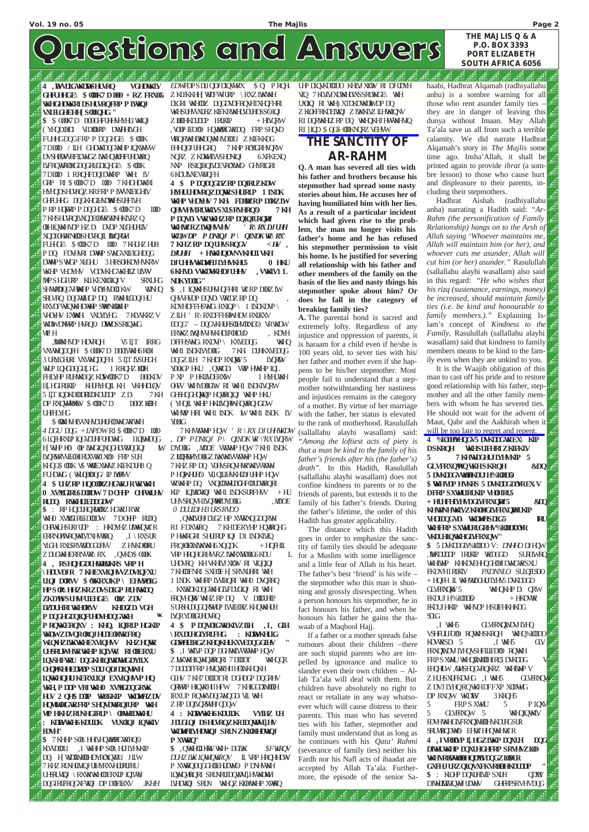44 B

**4 ,LWVVDLGWKDDWSHUVRQ VGHDWKLV GHFUHHGE\ \$ ODK7 DDOD + RZ FRXOG WKHGHDWKRIDSHUVRQFRP P LWLQJ VXHGHEHH SOIGHG " \$** \$ OODK7D DODGHFUHHVHYHU\ WKLQJ YHQDOHDI VIDOORP DWHHIXH FUHGDQGFRP P DQGHER\ \$ ODK 7DDOD / LIH GHDWKDQGWKHP LQXWHVW DVSHEMWRFIDWYZ LWHQWLHFUHDWRQ LVFROWROHDDQGRUDDQHGE\ \$ ODK 7DDOD 1 RRQHFDQIDWKRP WKH: LV GRP RI \$ ODK7D DOD 7KHGHDWKRI HYHQDSHURQZ KRFRP P LWWEICHLV GHUHG DOGKHGLHOWN-SUHTLYH P RP HQWRP P DQGHGE\ \$ ODK7D DOD 7 KHSHURQLXQDEONRWNHKLVRZQ **OTHIQWAHVP HZD DVDP XICHUHUV** XQDEOHRNOOSHURQIL INXRGH FUHCH \$ OOK7D DOD 7 KHUHZHUH P DQ FDVHVRI DWWP SWGVXUEIGHDQG DWAPSWAP XUHU 3HRSOHOMHWRW WKHP VHOYHV VODWKHGWKHUZULWV MPSHGIURP KLIKEXLOGUV SRXLHG SHWHOQGVHWAHP VHOYHVOLIKW WONHQ SRLVRQ DQGWULLGP DQ RWHUGDQJ HU RXVLFWQWHDWHP SWRNLOWHP VHOYHV EXWAH\ VXUYLYHG 7 KLVWKRZV WEDWDAWRP HVRQQ DLWWDSSRIQWG WLP H

\$ **WAHHUWHUHDWGWWH** *4 DGU* DQG *+LNPDW*RI \$ ODK7D DOD 6LQFHRXUP LQGVDUHFUHDWHG ILQLWHDQG H[WUHP HO\ OLP LWHGLQXQGHUVWDQGLQJ LW L**IQRSKWEOHRUXWRIXO** FRP SUH KHQG\$ ODK V\$ WWIEXWWZ KIEKDUH8 Q FUHDMG ( WHODOG IP LWOW **4 \$ UHZRP HQDORZHGWRJRWRWKH 0 XVMLGIRU6DODDW7 DOHHP OHFWXUHV RUQ\ RWHUEDDGDW \$** : RP HQDUHQRDWORZHGWRJRWR WHO XVMGIRI6DODDW 7DOHP RUDQ OHFWXUHSURJUDP : HKDYHZULWHQWZR ERRNOHWRQWALVTXHWRQ , I \ RXSUR YLGH\ RXUSRVWDOGUHW ZHWDORU ZDUGWAHERRNWR\RX, QWD\$ OODK **4 , RSHQHGDUHWDLOVKRS VRP H \ HDUVDJR 7 KHEXVLQHVVZDVLQFXU ULQJ DORVV \$ OWKRXJKP \ EHVSWDLG**

,LWVWKHVDP HDVRQH V5 L]T IRRG VXVWHQDQFH \$ OODK7D DODLVWKH6ROH 3 URMCHURI VAVMADQFH 5 LLTLUSUHCH WAP LOHODOGILHG 1 RROHZLOUH FHLY<del>H</del>P RUHWADQZ KUWOOK7D DODKDV IL[HGIRUKLP KHUHYHQLI KH VKHHDUQV 5 LLT LOOKDOD RUDKDUDP ZD 7KH DP RXQ<del>MANN</del>Y\\$\QOK7D DODZLOEH UHFHLYHG

*EDW*FDPSDLJQDJDLQV\WRX \$ Q\ P RQH\ ZKLFKKHH WUFWURP \ RXZLWKWH DGRI WHODZ DQGDVDFRQVHTXHQFHRI WHSUHVXUHZ KIEKRWHUVDUHDSSQIQJ ZLOOHKDUDP IRUKIP + HLVQRW , VOIP IEDOO HQWWOGWRDQ FRP SHQVD WEQRWHUWDQWHVDDU\ Z KIEKKDG **EHQDJUHGRQ** 7 KHP ROYLCRHACKW NQRZ ZKUMHUWSHUNQJ 6XFKEXQ NYP RSIQLRQLVDEVROXMAD GHYRIGRI 6KDUNXEWWQFH

\$, I LQWAHSUHAHQFHRI WZRP DOHZLW QHVHMDP DQVD VIRDZRP DQ  $KDMH$ DFFHSWHG $\chi$ RXIQP $\chi$  1 INDKDVP ZILH ' R\ RXDFFHSPWHDV\ RXUKXV  $EDCG' - DQGWHU + SQHWQWQQ WWWW$ ERWEZ LWHWHWHDUFOHDLO, KDYH DFFHSWHG\ RXDVP\ KXVEDQG WHQ WHI INDKIMDIG 7 KH\ DUHKXVEDQG DQGZILH 7 KHDP RXQRW 5 LVQRW YOUGP HKU, QWRCD\ WAP HWHP IQL P XP P HKUMDERX5W 1 HMH UWH OHV WHYDOLHW RI WHI INDKLUQRW GHSHQGHQARQP HQWRQQJ WHP HKU ( YHQLI WKHP HKULVQRPWHQWLRQHGDW WHAWP HRI WAHI INDK LWWKHI INDK LV YDOLG

,QWKLVUHJDUGZHP XVWRXQGDQRWH RI FDXWRQ 7 KHDERYHP HQWRQHG P HWARGRI SHURUP LQJ D1 INDKLVLQ FRQIOLEXWWWWWW.HXQQDK + HQHILI VRP HRQHCRHWRZ LWRXWOLG6KDU UHDARQ KHWHLVJXLOW RI VLQQQJ 7 KHODFNRI SXEOLFH SRVXUHRI WAH 1 LNDK WHERP LWERCRI WHO DACREQ KXWEDKDQGWAHGLVFDUGQJ RI WAH FROWHOW WAHZ RP DQ V: DODUHLP SURSHUQQQRSWHP LVMEODZ KHQWAHH LVQRYDOLGUHDVRQ

**HPSOR\ HHZKRZDVSDLGP RUHWKDQ ZKDWSUHVFUEHGE\ <b>OZ** ZDV **DZDUHRIWKHORVV KHDOZD\ VGH P DQGHGDQLQFUHDVHDQGWKH WK P RQWKERQXV : KHQ, LQIRUP HGKLP WKD,WZDVQRORQJHUDEOHWRFRQ WLQXHZLWKWKHEXVLQHVV KHZHQWR UHSRUPHWRWHP IQLVWU RIODERXU LQSHFWU DQGKHQLWLMGDYILX OHQJWKHHEDFWDP SDLJQDJDLQVPWH LQWKHQHLJKERXULQJ EXVLQHVVP HQ WKH,P DDP VRIWKH0 XVMLGDQGRWK HUV 2 QH\$ DOLP WROGKLP WKDKWHZDV HQWLWOHGWRFRP SHQVDWLRQIURP WKH WLP HKHZRUNHGIRUP \ ODWHIDWKHU : KDLWVWKH6KDULDK VUXOLQJ LQWKLV FDVH" \$** 7 KHP SOR\ HHLVHQWOHGWRRQQ KLVVDOU\, I WHHP SOR\ HULLYHAKIP DQ HWUXMOHDYROXQMAU JILW 7 KHZ RUNHUNQJ UHYRXVHURURU UHRUWLJ \ RXWKWHODERXUP LQLVW DQGIRUFRQGXFWLQJ DP DOLFLRXV *JKHH*

فيم

الثم انثم الثم الثم

**\ RXDUHGLYRUFHG : KDLWVKHULG GDSWHULRGZKHQKHUKXVEDQGGLHV " \$** ,I WKLVP DQP DGHWKLVVWDWHP HQW ZMKWHQMQWRQRI 7DODDT WHQQR 7 DODDTFRP HMQWRHIIHFZWKHQKH GLHV 7KH7DODDTRI DGHDGP DQGRHV QRWAP HQWRHIIHFW 7 KHIGGDZWICH IRXUP ROWKVDQGWQGD\ VLI WH ZRP DQLVQRSWHIQDQW

VSHILIHDOO RQWAHSKRQH WHQ%LODDO KDWRSD\ 5 ,I WH5 GLV FRXQZWDVJLYHQVSHFLILFDO\ RQWKH FRPS XWU WHQLZWIGHIRU5 DWADG **EHQHIW, GWSHQGKRQKRZ WHIMP V** ZHU-SXUFKDVHG, IWAH5 GLVFRXQW Z DVJ LYHQRQWKHDFFXP XODWG DP RXQW WKDW 3 KRQH5 5 FRPS XWHU 5 P LQXV 5 GLVHRXQW 5 WHQLQWALV HOWHWHCHAFRXQZWOHWKDUHGSUR SRUWEQDWQ EHWZHQWAHWZR **4 ,IVRLOLVP L[ HGZLWKP DQXUH DQG DIWHUWKHP DQXUHGHFRP SRVHVZLO WHYRIOMOHQDMDQGZIOUR GXFHJURZQLQVXFKVRLOEHKDUDDP " \$** : KOPP DQXUHLMP SXUH QDWV DIWHUWQWHUDWW GHFRPSRVHVDQG

أذور

لتكمد التكفد المقصر

**4 : KDLWVWKH6KDULDK VYLHZ UH JDUGLQJ DSHUNQZKRIDQWMLHV WOMHUHDMQJ SRUNZKI@HDMQJ P XWWRQ"** \$ , QWHOLKNVWH+ DGLWK \$FWRQV *DUHZ INK LQMHQMRQV* IL VRP HRQHHDW P XWWQDQGGHDEHUDWQ P DNHWMH LQMQWAQRI SRUNRUIDQWMLHMMLMH LVHDWQJ SRUN WHQZKIGHWHP XWRQ

الكدالكد الكد

المقد

لتنشر لتشفيه

ارد<br>ارد در

**4 \$ P DQDQGDZRP DQIRUZKDW HYHUUHDVRQZDQWRSHUIRUP 1 LNDK WKHP VHOYHV 7 KH\ FDOWZRP DOHZLW QHVVHVIRUWKLVSXUSRVHRQO\ 7 KH P DQVD\ VWRWKHZRP DQLQIURQRWI WKHWZRZLWQHVVHV** *' R\ RXDJUHH WKD,WDP P DNLQJ P \ QLNDKWR\ RX"* **7 KHZRP DQUHVSRQGV** *<HV , DJUHH* **+ HWKHQDVNVKHULIVKH DJUHHVWKDKWHJLYHVKHU5 0 HKU 6KHVD\ VWKDVWKHDJUHHV , VWKLV1 L NDKYDOLG"**

7KHVWDWHP HQW *' R \ RX DJUHHWKDW , DP PDNLQJ P\ QLNDKWR \"RX*LVQRW DYDOLG , MDDE VWDMP HQW 7 KHI INDK Z **IQRWAYDOLZ IWWALVWDWP HQW** 7 KHZ RP DQ VUHSRQVHWXWXWMW P HUMHHO VLULLHWHUD UHP HUW WWHP DQ WQLODWHUQHFOUDWRQRI KP LQUWWQJ WHI INDKSURFHW + HU UHVSRQVHLVQRWRDYDOLG *,MDDE 0 DUULDJH3URSRVDO*

**4 \$ P DQVDLGWRKLVZLIH ,I, GLH**

UP DOWNODDO KHLV XOW RI DJUDYH VLQ 7 KLVLVLXUWHUXSSRUWGE\ WH UXOQ RI WH XIDKDWUMDP DQ Z KOHRKDENQJ Z INKKIVZ ILHNAQNV RI DQRWAHZRP DQ WHQKHJHWWAHVQ RI JLQD \$ QG\$ **ODKNQRZVEHWW** 

43

42.42

It is the Waajib obligation of this man to cast off his pride and to restore good relationship with his father, stepmother and all the other family members with whom he has severed ties. He should not wait for the advent of Maut, Qabr and the Aakhirah when it will be too late to regret and repent.

## **THE SANCTITY OF AR-RAHM**

**Q. A man has severed all ties with his father and brothers because his stepmother had spread some nasty stories about him. He accuses her of having humiliated him with her lies. As a result of a particular incident which had given rise to the problem, the man no longer visits his father's home and he has refused his stepmother permission to visit his home. Is he justified for severing all relationship with his father and other members of the family on the basis of the lies and nasty things his stepmother spoke about him? Or does he fall in the category of breaking family ties?**

**A.** The parental bond is sacred and extremely lofty. Regardless of any injustice and oppression of parents, it is haraam for a child even if he/she is 100 years old, to sever ties with his/ her father and mother even if she happens to be his/her stepmother. Most people fail to understand that a stepmother notwithstanding her nastiness and injustices remains in the category of a mother. By virtue of her marriage with the father, her status is elevated to the rank of motherhood. Rasulullah (sallallahu alayhi wasallam) said: *"Among the loftiest acts of piety is that a man be kind to the family of his father's friends after his (the father's) death".* In this Hadith, Rasulullah (sallallahu alayhi wasallam) does not confine kindness to parents or to the friends of parents, but extends it to the family of his father's friends. During the father's lifetime, the order of this Hadith has greater applicability.

The distance which this Hadith goes in order to emphasize the sanctity of family ties should be adequate for a Muslim with some intelligence and a little fear of Allah in his heart. The father's best 'friend' is his wife – the stepmother who this man is shunning and grossly disrespecting. When a person honours his stepmother, he in fact honours his father, and when he honours his father he gains the thawaab of a Maqbool Hajj. If a father or a mother spreads false rumours about their children –there are such stupid parents who are impelled by ignorance and malice to slander even their own children – Allah Ta'ala will deal with them. But children have absolutely no right to react or retaliate in any way whatsoever which will cause distress to their parents. This man who has severed ties with his father, stepmother and family must understand that as long as he continues with his *Qata' Rahmi* (severance of family ties) neither his Fardh nor his Nafl acts of ibaadat are accepted by Allah Ta'ala. Furthermore, the episode of the senior Sa-

القوم اقعا اقوام اقوم المحافظ القوم اقعا اقوم اقوم اقعام اقوما

haabi, Hadhrat Alqamah (radhiyallahu anhu) is a sombre warning for all those who rent asunder family ties – they are in danger of leaving this dunya without Imaan. May Allah Ta'ala save us all from such a terrible calamity. We did narrate Hadhrat Alqamah's story in *The Majlis* some time ago. Insha'Allah, it shall be printed again to provide *ibrat* (a sombre lesson) to those who cause hurt and displeasure to their parents, including their stepmothers.

h. فيميم فيمير B فيمير

المقيم

Hadhrat Aishah (radhiyallahu anha) narrating a Hadith said: *"Ar-Rahm (the personification of Family Relationship) hangs on to the Arsh of Allah saying 'Whoever maintains me, Allah will maintain him (or her), and whoever cuts me asunder, Allah will cut him (or her) asunder."* Rasulullah (sallallahu alayhi wasallam) also said in this regard: *"He who wishes that his rizq (sustenance, earnings, money) be increased, should maintain family ties (i.e. be kind and honourable to family members.)."* Explaining Islam's concept of *Kindness to the Family,* Rasulullah (sallallahu alayhi wasallam) said that kindness to family members means to be kind to the family even when they are unkind to you.

**4 %LODDOVHQGV5 DVKDDGWREX\ KLP DSKRQH WHSUFHRIZKIFKIV 5 7 KHWUDGHUJLYHVKLP 5 GLVFRXQWRQWKHSKRQH &DQ 5 DWDGVWOKDUJH%IODS \$ WKHVDP HVKRS 5 DVKDDGDOVREX\V DFRP SXWHUIRUKLP VHOIIRU5 + HUHFHLYHVDGLVFRXQRWI5 &DQ KHWNHWIYZKROKHWFRXQINUKIP VHOIDQGVD\ WKDKWHSDLG5 IRU WHFRP SXWLRIGRHV/dODDOR VKDUHLQWKHGLVFRXQW" \$** 5 DVKDDGLV%LODDO V*: DNHHO*DJHQW ,LWVKDUDDP IRUKLP WRDGGD SURILWRQ WHIMP KHKDVEHOGHOH DMGWRSXU FKDVHIRUKIV *PXDNNLO* SULQHSDO + HQHI IL WHNDOHUILYHV5 DWKDOD GLVFRXQRV 5 WHQKHP D\ QRW FKDUJH%LODD5O + HKDVWR FKDUJHKLP WKHVDP HSULFHKHKDG SDLG

,I WKH5 GLVFRXQZWDVJLYHQ

# uestions and Answers

**P.O. BOX 3393 PORT ELIZABETH SOUTH AFRICA 6056**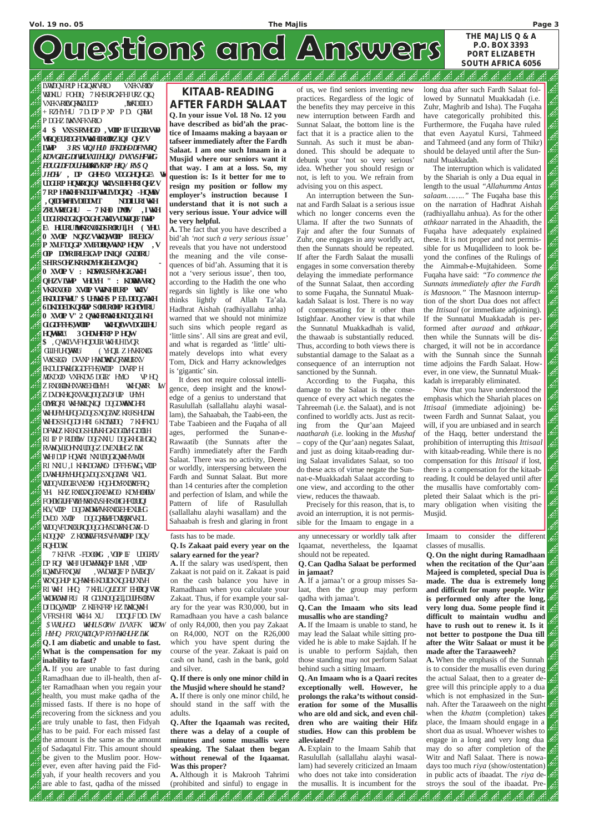# Questions and Answers

### الججير A Æ Æ B المحقو فيمر

LVWUDQVIRUP HGLQWRVRLO VXFKVRLOV WODKLU FOHDQ 7 KHSURGXFHJURZQLQ VYHKVRIDQRKWUDP, NWKDODO + RZHYHU 7D\ DP P XP P D\ QREWH P DGHZ INKVAFKVRIO

**THE MAJLIS Q & A P.O. BOX 3393 PORT ELIZABETH SOUTH AFRICA 6056**

**4 \$ VXSSRVHGO\ , VODP LFUDGLRVWD WLRQEURDGFDVWKHIRORZLQJ QHZV LWP** 3RS *VQJH0 IFKDHODFNVRQ KDVGLHGDIWHUVXIIHULQJ DVXVSHFWHG FDUGLDFDUUHVDWKWLVKRP HLQ/ RV\$ Q JHOHV* **, DP GHHSO\ VDGGHQHGE\ WKH UDGLRP HQWLRQLQJ WKLVSLHFHRIQHZV 7 RP HWKHFKDUDFWHULVDQRQ -HQWLW\ ,QIDFKWHLVDIDDVLT NDDILURIWKH ZRUVRWUGHU – 7 KH0 DMOLV ,IWKH** UDGLRKDGLQFOXGHGWXVDWQLFIWP **E\ HUURULWVKRXOGDSRORJL]H ( YHU\ 0 XVOLP NQRZVWKD,WVODP IRUELGV P XVLFDQGP XVLFDOLQVWUXP HQWV , V ODP DOVRIRUELGVP DNLQJ GXDIRU SHRSOHZKRKDYHGLHGDVQRQ - 0 XVOLP V : KDSWXUSRVHGLGWKH QHZVLWHP VHUYH " : KDOWHVVRQ VKRXOG0 XVOLP VWDNHIURP WKLV FKDUDFWHU" \$ UHWKH\$ P EL\ DDQGWKH 6DKDDEDKQRDWP SOHUROHP RGHOVIRU 0 XVOLP V" 2 QWKHRWKHUKDQGLIKH GLGDFFHS,WVODP WKHQLWVDGLIIHU HQVWRU\ 3OHDVHFRP P HQW \$** , QWKLVVFHQDULRWKHUHLVQR GLIIHUHQWRU\ (YHQIL ZHWRXIOG VWXSIGO DWYP HWDWAD QRWRURXV HKDUDFWHGKCDFFHS,WODP DWRPH *MXKDOD* VXFKDV5 DGIR' HYLO VP HQ ZRXOGONHXWREHOLMH WHQWRR LW ZDVDKHQRXVVQDQGIVDJUP UHYH ODWRQRI WHWMQNQJ DQGDWWXGHRI WHUHHHQGVQGSXQGIWZKRRSHUDMH WHDSSHQCDJHRI 6KDLWDQ 7 KHFKDU DFWLZKRKDGSHUXHGKDGUMHGDOLH RI IP P RUDOLWY DQGNANU DQGKHGLHGIQ RVWQWEOHNY UDQGZ DVEXULHGZ INK WAHJ DUP HQWRI NNIUDQQQWAHWWOH RI NAIU,I KHKDGWAQ DFFHSWHG, VODP DVWHUHYHUHQGVDQGSXQGLWRI VKDL WDQVUDGIRVXEWO HQGHDYRXUWFRQ YH KHZRXOXQGRXEWHQO KDYHOHIW FOHDULLHFWHARKINSHRSOKHFODUQJ KLV, VODP DQGWADWHWKRXOEHEXULHG DVD0 XVOP DQQQRWHFDVQWRVKDL WDQVFDXOURQDQGHVSDWKHGWR-D KDQQXP Z KIONKWFRUSVHVMIOUHP DLQV RQHDUWK

7 KHVR -FDOOHG ,VODP LF UDGLRLV DP RQJ WKHJUHDWHVHWQHP LHVRI ,VODP LQWALVFRXQWW, WUNDAQLF P LWLRQLV WAXQHIP IQHWH6KDULKXQGHJXLYH RI WKH' HHQ 7KHLU*QLIDDT* EHORQJVWR WAD **WAD WARRI RI GOUNDQGELIDUHSORW** DJDQWODP Z KJEKFRP HZ LWAQWAH VFRSHRI WKH4 XU DDQLFDD\ DW *\$VVXUHGO\ WKHLUSORW LVVXFK WKDW*

*HYHQ PRXQWDLQVPRYHWKHUHZLWK* **Q.I am diabetic and unable to fast. What is the compensation for my inability to fast?**

**A.** If you are unable to fast during Ramadhaan due to ill-health, then after Ramadhaan when you regain your health, you must make qadha of the missed fasts. If there is no hope of recovering from the sickness and you are truly unable to fast, then Fidyah has to be paid. For each missed fast the amount is the same as the amount of Sadaqatul Fitr. This amount should be given to the Muslim poor. However, even after having paid the Fidyah, if your health recovers and you are able to fast, qadha of the missed

أنجير أنجمر أنجبر أنجبر أنجير أنجير

نيم المي

ليمر

### fasts has to be made.

## **Q.Is Zakaat paid every year on the salary earned for the year?**

**A.** If the salary was used/spent, then Zakaat is not paid on it. Zakaat is paid on the cash balance you have in Ramadhaan when you calculate your Zakaat. Thus, if for example your salary for the year was R30,000, but in Ramadhaan you have a cash balance of only R4,000, then you pay Zakaat on R4,000, NOT on the R26,000 which you have spent during the course of the year. Zakaat is paid on cash on hand, cash in the bank, gold and silver.

**Q.If there is only one minor child in the Musjid where should he stand? A.** If there is only one minor child, he should stand in the saff with the adults.

**Q. After the Iqaamah was recited, there was a delay of a couple of minutes and some musallis were speaking. The Salaat then began without renewal of the Iqaamat. Was this proper?**

**A.** Although it is Makrooh Tahrimi (prohibited and sinful) to engage in

انتشار انتشار

B لتشمر

ليمر

أثنه أثنه أثنه أثنه أنقط

B الجحيم B B

any unnecessary or worldly talk after Iqaamat, nevertheless, the Iqaamat should not be repeated.

## **Q. Can Qadha Salaat be performed in jamaat?**

**A**. If a jamaa't or a group misses Salaat, then the group may perform qadha with jamaa't.

## **Q. Can the Imaam who sits lead musallis who are standing?**

**A.** If the Imaam is unable to stand, he

may lead the Salaat while sitting provided he is able to make Sajdah. If he is unable to perform Sajdah, then those standing may not perform Salaat behind such a sitting Imaam.

**Q. An Imaam who is a Qaari recites exceptionally well. However, he prolongs the raka'ts without consideration for some of the Musallis who are old and sick, and even children who are waiting their Hifz studies. How can this problem be alleviated?**

**A.** Explain to the Imaam Sahib that Rasulullah (sallallahu alayhi wasallam) had severely criticized an Imaam who does not take into consideration the musallis. It is incumbent for the

B.B

B B فيمير B فيمير

لتشمير

Imaam to consider the different classes of musallis.

**Q.On the night during Ramadhaan when the recitation of the Qur'aan Majeed is completed, special Dua is made. The dua is extremely long and difficult for many people. Witr is performed only after the long, very long dua. Some people find it difficult to maintain wudhu and have to rush out to renew it. Is it not better to postpone the Dua till after the Witr Salaat or must it be made after the Taraaweeh? A.** When the emphasis of the Sunnah is to consider the musallis even during the actual Salaat, then to a greater degree will this principle apply to a dua which is not emphasized in the Sunnah. After the Taraaweeh on the night when the *khatm* (completion) takes place, the Imaam should engage in a short dua as usual. Whoever wishes to engage in a long and very long dua may do so after completion of the Witr and Nafl Salaat. There is nowadays too much *riya* (show/ostentation) in public acts of ibaadat. The *riya* destroys the soul of the ibaadat. Pre-

اقتصاد فصارفته والتعارفتين فتحرج والمحارب

## **KITAAB-READING AFTER FARDH SALAAT**

**Q.In your issue Vol. 18 No. 12 you have described as bid'ah the practice of Imaams making a bayaan or tafseer immediately after the Fardh Salaat. I am one such Imaam in a Musjid where our seniors want it that way. I am at a loss. So, my question is: Is it better for me to resign my position or follow my employer's instruction because I understand that it is not such a very serious issue. Your advice will be very helpful.**

**A.** The fact that you have described a bid'ah *'not such a very serious issue'* reveals that you have not understood the meaning and the vile consequences of bid'ah. Assuming that it is not a 'very serious issue', then too, according to the Hadith the one who regards sin lightly is like one who thinks lightly of Allah Ta'ala. Hadhrat Aishah (radhiyallahu anha) warned that we should not minimize such sins which people regard as 'little sins'. All sins are great and evil, and what is regarded as 'little' ultimately develops into what every Tom, Dick and Harry acknowledges is 'gigantic' sin.

It does not require colossal intelligence, deep insight and the knowledge of a genius to understand that Rasulullah (sallallahu alayhi wasallam), the Sahaabah, the Taabi-een, the Tabe Taabieen and the Fuqaha of all ages, performed the Sunan-e-Rawaatib (the Sunnats after the Fardh) immediately after the Fardh Salaat. There was no activity, Deeni or worldly, interspersing between the Fardh and Sunnat Salaat. But more than 14 centuries after the completion and perfection of Islam, and while the Pattern of life of Rasulullah (sallallahu alayhi wasallam) and the Sahaabah is fresh and glaring in front

of us, we find seniors inventing new practices. Regardless of the logic of the benefits they may perceive in this new interruption between Fardh and Sunnat Salaat, the bottom line is the fact that it is a practice alien to the Sunnah. As such it must be abandoned. This should be adequate to debunk your 'not so very serious' idea. Whether you should resign or not, is left to you. We refrain from advising you on this aspect.

An interruption between the Sunnat and Fardh Salaat is a serious issue which no longer concerns even the Ulama. If after the two Sunnats of Fajr and after the four Sunnats of Zuhr, one engages in any worldly act, then the Sunnats should be repeated. If after the Fardh Salaat the musalli engages in some conversation thereby delaying the immediate performance of the Sunnat Salaat, then according to some Fuqaha, the Sunnatul Muakkadah Salaat is lost. There is no way of compensating for it other than Istighfaar. Another view is that while the Sunnatul Muakkadhah is valid, the thawaab is substantially reduced. Thus, according to both views there is substantial damage to the Salaat as a consequence of an interruption not sanctioned by the Sunnah.

According to the Fuqaha, this damage to the Salaat is the consequence of every act which negates the Tahreemah (i.e. the Salaat), and is not confined to worldly acts. Just as reciting from the Qur'aan Majeed *naatharah* (i.e. looking in the *Mushaf* – copy of the Qur'aan) negates Salaat, and just as doing kitaab-reading during Salaat invalidates Salaat, so too do these acts of virtue negate the Sunnat-e-Muakkadah Salaat according to one view, and according to the other view, reduces the thawaab.

Precisely for this reason, that is, to avoid an interruption, it is not permissible for the Imaam to engage in a

long dua after such Fardh Salaat followed by Sunnatul Muakkadah (i.e. Zuhr, Maghrib and Isha). The Fuqaha have categorically prohibited this. Furthermore, the Fuqaha have ruled that even Aayatul Kursi, Tahmeed and Tahmeed (and any form of Thikr) should be delayed until after the Sunnatul Muakkadah.

The interruption which is validated by the Shariah is only a Dua equal in length to the usual *"Allahumma Antas salaam…….."* The Fuqaha base this on the narration of Hadhrat Aishah (radhiyallahu anhua). As for the other *athkaar* narrated in the Ahaadith, the Fuqaha have adequately explained these. It is not proper and not permissible for us Muqallideen to look beyond the confines of the Rulings of the Aimmah-e-Mujtahideen. Some Fuqaha have said: *"To commence the Sunnats immediately after the Fardh is Masnoon."* The Masnoon interruption of the short Dua does not affect the *Ittisaal* (or immediate adjoining). If the Sunnatul Muakkadah is performed after *auraad* and *athkaar*, then while the Sunnats will be discharged, it will not be in accordance with the Sunnah since the Sunnah time adjoins the Fardh Salaat. However, in one view, the Sunnatul Muakkadah is irreparably eliminated.

Now that you have understood the emphasis which the Shariah places on *Ittisaal* (immediate adjoining) between Fardh and Sunnat Salaat, you will, if you are unbiased and in search of the Haqq, better understand the prohibition of interrupting this *Ittisaal* with kitaab-reading. While there is no compensation for this *Ittisaal* if lost*,* there is a compensation for the kitaabreading. It could be delayed until after the musallis have comfortably completed their Salaat which is the primary obligation when visiting the Musjid.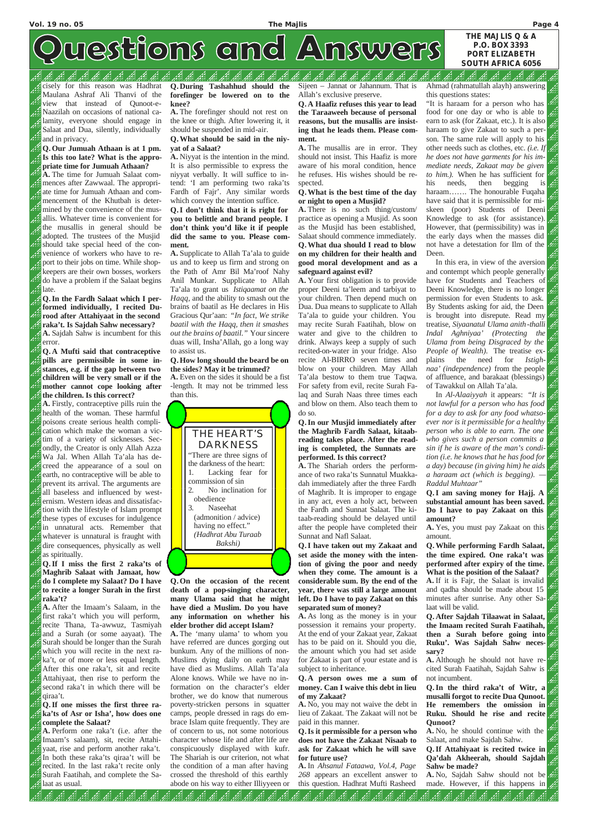cisely for this reason was Hadhrat Maulana Ashraf Ali Thanvi of the view that instead of Qunoot-e-Naazilah on occasions of national calamity, everyone should engage in Salaat and Dua, silently, individually and in privacy.

## **Q.Our Jumuah Athaan is at 1 pm. Is this too late? What is the appropriate time for Jumuah Athaan?**

**A.** The time for Jumuah Salaat commences after Zawwaal. The appropriate time for Jumuah Athaan and commencement of the Khutbah is determined by the convenience of the musallis. Whatever time is convenient for the musallis in general should be adopted. The trustees of the Musjid should take special heed of the convenience of workers who have to report to their jobs on time. While shopkeepers are their own bosses, workers do have a problem if the Salaat begins late.

**Q.In the Fardh Salaat which I performed individually, I recited Durood after Attahiyaat in the second raka't. Is Sajdah Sahw necessary? A.** Sajdah Sahw is incumbent for this error.

**Q. A Mufti said that contraceptive pills are permissible in some instances, e.g. if the gap between two children will be very small or if the mother cannot cope looking after the children. Is this correct?**

**A.** Firstly, contraceptive pills ruin the health of the woman. These harmful poisons create serious health complication which make the woman a victim of a variety of sicknesses. Secondly, the Creator is only Allah Azza Wa Jal. When Allah Ta'ala has decreed the appearance of a soul on earth, no contraceptive will be able to prevent its arrival. The arguments are all baseless and influenced by westernism. Western ideas and dissatisfaction with the lifestyle of Islam prompt these types of excuses for indulgence in unnatural acts. Remember that whatever is unnatural is fraught with dire consequences, physically as well as spiritually.

**Q.If I miss the first 2 raka'ts of Maghrib Salaat with Jamaat, how do I complete my Salaat? Do I have to recite a longer Surah in the first raka't?**

**A.** After the Imaam's Salaam, in the first raka't which you will perform, recite Thana, Ta-awwuz, Tasmiyah and a Surah (or some aayaat). The Surah should be longer than the Surah which you will recite in the next raka't, or of more or less equal length. After this one raka't, sit and recite Attahiyaat, then rise to perform the second raka't in which there will be qiraa't.

**Q.If one misses the first three raka'ts of Asr or Isha', how does one complete the Salaat?**

**A.** Perform one raka't (i.e. after the Imaam's salaam), sit, recite Attahiyaat, rise and perform another raka't. In both these raka'ts qiraa't will be recited. In the last raka't recite only Surah Faatihah, and complete the Salaat as usual.

138 38 38

انشد

يمير لتعمر ازور

**Q. During Tashahhud should the forefinger be lowered on to the knee?**

**A.** The forefinger should not rest on the knee or thigh. After lowering it, it should be suspended in mid-air.

## **Q.What should be said in the niyyat of a Salaat?**

**A.** Niyyat is the intention in the mind. It is also permissible to express the niyyat verbally. It will suffice to intend: 'I am performing two raka'ts Fardh of Fajr'. Any similar words which convey the intention suffice.

## **Q.I don't think that it is right for you to belittle and brand people. I don't think you'd like it if people did the same to you. Please comment.**

**A.** Supplicate to Allah Ta'ala to guide us and to keep us firm and strong on the Path of Amr Bil Ma'roof Nahy Anil Munkar. Supplicate to Allah Ta'ala to grant us *Istiqaamat on the Haqq*, and the ability to smash out the brains of baatil as He declares in His Gracious Qur'aan: *"In fact, We strike baatil with the Haqq, then it smashes out the brains of baatil."* Your sincere duas will, Insha'Allah, go a long way to assist us.

يعم Â فيمو فيم فيمير فيم Ahmad (rahmatullah alayh) answering this questions states:

## **Q.How long should the beard be on the sides? May it be trimmed?**

**A.** Even on the sides it should be a fist -length. It may not be trimmed less than this.

**Q.On the occasion of the recent death of a pop-singing character, many Ulama said that he might have died a Muslim. Do you have any information on whether his elder brother did accept Islam?**

**A.** The 'many ulama' to whom you have referred are dunces gorging out bunkum. Any of the millions of non-Muslims dying daily on earth may have died as Muslims. Allah Ta'ala Alone knows. While we have no information on the character's elder brother, we do know that numerous poverty-stricken persons in squatter camps, people dressed in rags do embrace Islam quite frequently. They are of concern to us, not some notorious character whose life and after life are conspicuously displayed with kufr. The Shariah is our criterion, not what the condition of a man after having crossed the threshold of this earthly abode on his way to either Illiyyeen or

لتشار

الكند الكند

فيممه المند فيمر

انقص

Sijeen – Jannat or Jahannum. That is Allah's exclusive preserve.

**Q. A Haafiz refuses this year to lead the Taraaweeh because of personal reasons, but the musallis are insisting that he leads them. Please comment.**

**A.** The musallis are in error. They should not insist. This Haafiz is more aware of his moral condition, hence he refuses. His wishes should be respected.

## **Q.What is the best time of the day or night to open a Musjid?**

**A.** There is no such thing/custom/ practice as opening a Musjid. As soon as the Musjid has been established, Salaat should commence immediately. **Q.What dua should I read to blow on my children for their health and good moral development and as a safeguard against evil?**

**A.** Your first obligation is to provide proper Deeni ta'leem and tarbiyat to your children. Then depend much on Dua. Dua means to supplicate to Allah Ta'ala to guide your children. You may recite Surah Faatihah, blow on water and give to the children to drink. Always keep a supply of such recited-on-water in your fridge. Also recite Al-BIRRO seven times and blow on your children. May Allah Ta'ala bestow to them true Taqwa. For safety from evil, recite Surah Falaq and Surah Naas three times each and blow on them. Also teach them to do so.

## **Q.In our Musjid immediately after the Maghrib Fardh Salaat, kitaabreading takes place. After the reading is completed, the Sunnats are performed. Is this correct?**

**A.** The Shariah orders the performance of two raka'ts Sunnatul Muakkadah immediately after the three Fardh of Maghrib. It is improper to engage in any act, even a holy act, between the Fardh and Sunnat Salaat. The kitaab-reading should be delayed until after the people have completed their Sunnat and Nafl Salaat.

**Q.I have taken out my Zakaat and set aside the money with the intention of giving the poor and needy when they come. The amount is a considerable sum. By the end of the year, there was still a large amount left. Do I have to pay Zakaat on this separated sum of money?**

**A.** As long as the money is in your possession it remains your property.

At the end of your Zakaat year, Zakaat has to be paid on it. Should you die, the amount which you had set aside for Zakaat is part of your estate and is subject to inheritance.

**Q. A person owes me a sum of money. Can I waive this debt in lieu of my Zakaat?**

**A.** No, you may not waive the debt in lieu of Zakaat. The Zakaat will not be paid in this manner.

**Q.Is it permissible for a person who does not have the Zakaat Nisaab to ask for Zakaat which he will save for future use?**

**A.** In *Ahsanul Fataawa, Vol.4, Page 268* appears an excellent answer to this question. Hadhrat Mufti Rasheed

ئۇد

لثقف

لتشر

"It is haraam for a person who has food for one day or who is able to earn to ask (for Zakaat, etc.). It is also haraam to give Zakaat to such a person. The same rule will apply to his other needs such as clothes, etc. *(i.e. If he does not have garments for his immediate needs, Zakaat may be given to him.).* When he has sufficient for his needs, then begging is haraam……. The honourable Fuqaha have said that it is permissible for miskeen (poor) Students of Deeni Knowledge to ask (for assistance). However, that (permissibility) was in the early days when the masses did not have a detestation for Ilm of the Deen.

In this era, in view of the aversion and contempt which people generally have for Students and Teachers of Deeni Knowledge, there is no longer permission for even Students to ask. By Students asking for aid, the Deen is brought into disrepute. Read my treatise, *Siyaanatul Ulama anith-thalli Indal Aghniyaa' (Protecting the Ulama from being Disgraced by the People of Wealth).* The treatise explains the need for *Istighnaa' (independence)* from the people of affluence, and barakaat (blessings) of Tawakkul on Allah Ta'ala.

In *Al-Alaaiyyah* it appears: *"It is not lawful for a person who has food for a day to ask for any food whatsoever nor is it permissible for a healthy person who is able to earn. The one who gives such a person commits a sin if he is aware of the man's condition (i.e. he knows that he has food for a day) because (in giving him) he aids a haraam act (which is begging). — Raddul Muhtaar"*

**Q.I am saving money for Hajj. A substantial amount has been saved. Do I have to pay Zakaat on this amount?**

**A.** Yes, you must pay Zakaat on this amount.

**Q.While performing Fardh Salaat, the time expired. One raka't was performed after expiry of the time. What is the position of the Salaat?**

**A.** If it is Fajr, the Salaat is invalid and qadha should be made about 15 minutes after sunrise. Any other Salaat will be valid.

**Q. After Sajdah Tilaawat in Salaat, the Imaam recited Surah Faatihah, then a Surah before going into Ruku'. Was Sajdah Sahw necessary? A.** Although he should not have recited Surah Faatihah, Sajdah Sahw is not incumbent.

**Q.In the third raka't of Witr, a musalli forgot to recite Dua Qunoot. He remembers the omission in Ruku. Should he rise and recite Qunoot?**

**A.** No, he should continue with the Salaat, and make Sajdah Sahw.

**Q.If Attahiyaat is recited twice in Qa'dah Akheerah, should Sajdah Sahw be made?**

**A.** No, Sajdah Sahw should not be made. However, if this happens in

الكفد الكفد

التكفد

# uestions and Answers

**P.O. BOX 3393 PORT ELIZABETH SOUTH AFRICA 6056**

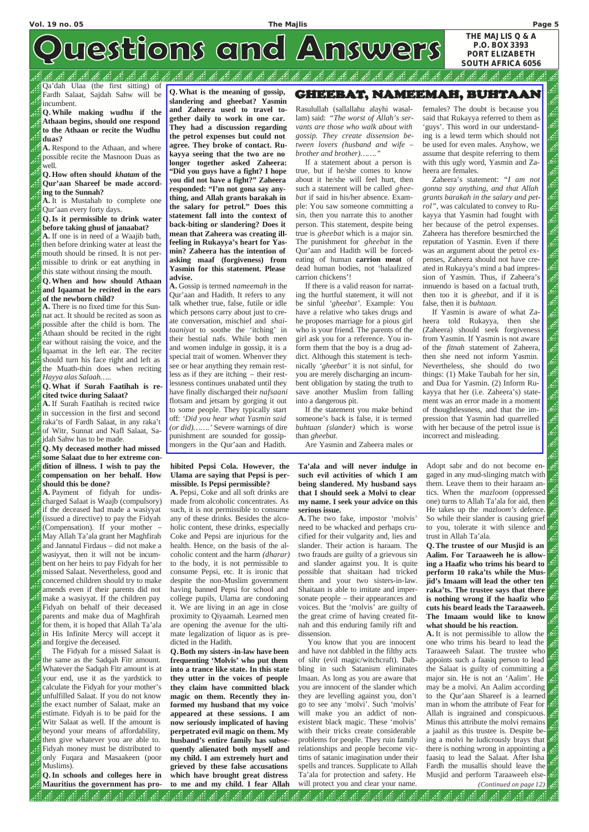فيم

# westions and Answers

### فيحير Æ فيمير B فيميم

Qa'dah Ulaa (the first sitting) of Fardh Salaat, Sajdah Sahw will be incumbent.

**Q.While making wudhu if the Athaan begins, should one respond to the Athaan or recite the Wudhu duas?**

**A.** Respond to the Athaan, and where possible recite the Masnoon Duas as well.

**Q.How often should** *khatam* **of the Qur'aan Shareef be made according to the Sunnah?**

**A.** It is Mustahab to complete one Qur'aan every forty days.

**Q.Is it permissible to drink water before taking ghusl of janaabat?**

**A.** If one is in need of a Waajib bath, then before drinking water at least the mouth should be rinsed. It is not permissible to drink or eat anything in this state without rinsing the mouth.

**Q.When and how should Athaan and Iqaamat be recited in the ears of the newborn child?**

**A.** There is no fixed time for this Sunnat act. It should be recited as soon as possible after the child is born. The Athaan should be recited in the right ear without raising the voice, and the Iqaamat in the left ear. The reciter should turn his face right and left as the Muath-thin does when reciting *Hayya alas Salaah…..*

## **Q.What if Surah Faatihah is recited twice during Salaat?**

**A.** If Surah Faatihah is recited twice in succession in the first and second raka'ts of Fardh Salaat, in any raka't of Witr, Sunnat and Nafl Salaat, Sajdah Sahw has to be made.

**Q.My deceased mother had missed some Salaat due to her extreme condition of illness. I wish to pay the compensation on her behalf. How should this be done?**

**A.** Payment of fidyah for undischarged Salaat is Waajb (compulsory) if the deceased had made a wasiyyat (issued a directive) to pay the Fidyah (Compensation). If your mother – May Allah Ta'ala grant her Maghfirah and Jannatul Firdaus – did not make a wasiyyat, then it will not be incumbent on her heirs to pay Fidyah for her missed Salaat. Nevertheless, good and concerned children should try to make amends even if their parents did not make a wasiyyat. If the children pay Fidyah on behalf of their deceased parents and make dua of Maghfirah for them, it is hoped that Allah Ta'ala in His Infinite Mercy will accept it and forgive the deceased. The Fidyah for a missed Salaat is the same as the Sadqah Fitr amount. Whatever the Sadqah Fitr amount is at your end, use it as the yardstick to calculate the Fidyah for your mother's unfulfilled Salaat. If you do not know the exact number of Salaat, make an estimate. Fidyah is to be paid for the Witr Salaat as well. If the amount is beyond your means of affordability, then give whatever you are able to. Fidyah money must be distributed to only Fuqara and Masaakeen (poor Muslims).

**Q.In schools and colleges here in Mauritius the government has pro-**

انش انشد

المحمد لتشا لتشا لتشمه التفد **hibited Pepsi Cola. However, the**

## **Ulama are saying that Pepsi is permissible. Is Pepsi permissible?**

**A.** Pepsi, Coke and all soft drinks are made from alcoholic concentrates. As such, it is not permissible to consume any of these drinks. Besides the alcoholic content, these drinks, especially Coke and Pepsi are injurious for the health. Hence, on the basis of the alcoholic content and the harm *(dharar)* to the body, it is not permissible to consume Pepsi, etc. It is ironic that despite the non-Muslim government having banned Pepsi for school and college pupils, Ulama are condoning it. We are living in an age in close proximity to Qiyaamah. Learned men are opening the avenue for the ulti-

mate legalization of liquor as is predicted in the Hadith.

**Q.Both my sisters-in-law have been frequenting 'Molvis' who put them into a trance like state. In this state they utter in the voices of people they claim have committed black magic on them. Recently they informed my husband that my voice appeared at these sessions. I am now seriously implicated of having perpetrated evil magic on them. My husband's entire family has subsequently alienated both myself and my child. I am extremely hurt and grieved by these false accusations which have brought great distress to me and my child. I fear Allah**

> لتفص الكمد در<br>درگ

م<br>زود **A** ازدر

ازدر

**Ta'ala and will never indulge in such evil activities of which I am being slandered. My husband says that I should seek a Molvi to clear my name. I seek your advice on this serious issue.** 

**A.** The two fake, impostor 'molvis' need to be whacked and perhaps crucified for their vulgarity and, lies and slander. Their action is haraam. The two frauds are guilty of a grievous sin and slander against you. It is quite possible that shaitaan had tricked them and your two sisters-in-law. Shaitaan is able to imitate and impersonate people – their appearances and voices. But the 'molvis' are guilty of the great crime of having created fitnah and this enduring family rift and dissension. You know that you are innocent and have not dabbled in the filthy acts of sihr (evil magic/witchcraft). Dabbling in such Satanism eliminates Imaan. As long as you are aware that you are innocent of the slander which they are levelling against you, don't go to see any 'molvi'. Such 'molvis' will make you an addict of nonexistent black magic. These 'molvis' with their tricks create considerable problems for people. They ruin family relationships and people become victims of satanic imagination under their spells and trances. Supplicate to Allah Ta'ala for protection and safety. He will protect you and clear your name.

المقد لقد

मी الكفد لتكفد

想想通知

Adopt sabr and do not become engaged in any mud-slinging match with them. Leave them to their haraam antics. When the *mazloom* (oppressed one) turns to Allah Ta'ala for aid, then He takes up the *mazloom's* defence. So while their slander is causing grief to you, tolerate it with silence and trust in Allah Ta'ala.

**Q.The trustee of our Musjid is an Aalim. For Taraaweeh he is allowing a Haafiz who trims his beard to perform 10 raka'ts while the Musjid's Imaam will lead the other ten raka'ts. The trustee says that there is nothing wrong if the haafiz who cuts his beard leads the Taraaweeh. The Imaam would like to know what should be his reaction. A.** It is not permissible to allow the one who trims his beard to lead the Taraaweeh Salaat. The trustee who appoints such a faasiq person to lead the Salaat is guilty of committing a major sin. He is not an 'Aalim'. He may be a molvi. An Aalim according to the Qur'aan Shareef is a learned man in whom the attribute of Fear for Allah is ingrained and conspicuous. Minus this attribute the molvi remains a jaahil as this trustee is. Despite being a molvi he ludicrously brays that there is nothing wrong in appointing a faasiq to lead the Salaat. After Isha Fardh the musallis should leave the Musjid and perform Taraaweeh else- *(Continued on page 12)*

魂

**THE MAJLIS Q & A P.O. BOX 3393 PORT ELIZABETH SOUTH AFRICA 6056**

**Q.What is the meaning of gossip, slandering and gheebat? Yasmin and Zaheera used to travel together daily to work in one car. They had a discussion regarding the petrol expenses but could not agree. They broke of contact. Rukayya seeing that the two are no longer together asked Zaheera: "Did you guys have a fight? I hope you did not have a fight?" Zaheera responded: "I'm not gona say anything, and Allah grants barakah in the salary for petrol." Does this statement fall into the context of back-biting or slandering? Does it mean that Zaheera was creating illfeeling in Rukayya's heart for Yasmin? Zaheera has the intention of asking maaf (forgiveness) from Yasmin for this statement. Please advise.**

**A.** Gossip is termed *nameemah* in the Qur'aan and Hadith. It refers to any talk whether true, false, futile or idle which persons carry about just to create conversation, mischief and *shaitaaniyat* to soothe the 'itching' in their bestial nafs. While both men and women indulge in gossip, it is a special trait of women. Whenver they see or hear anything they remain restless as if they are itching – their restlessness continues unabated until they have finally discharged their *nafsaani* flotsam and jetsam by gorging it out to some people. They typically start off: *'Did you hear what Yasmin said (or did)…….'* Severe warnings of dire punishment are sounded for gossipmongers in the Qur'aan and Hadith.

## GHEEBAT, NAMEEMAH, BUHTAAN

Rasulullah (sallallahu alayhi wasallam) said: *"The worst of Allah's servants are those who walk about with gossip. They create dissension between lovers (husband and wife – brother and brother)……."*

If a statement about a person is true, but if he/she comes to know about it he/she will feel hurt, then such a statement will be called *gheebat* if said in his/her absence. Example: You saw someone committing a sin, then you narrate this to another person. This statement, despite being true is *gheebat* which is a major sin. The punishment for *gheebat* in the Qur'aan and Hadith will be forcedeating of human **carrion meat** of dead human bodies, not 'halaalized carrion chickens'!

If there is a valid reason for narrating the hurtful statement, it will not be sinful *'gheebat'.* Example: You have a relative who takes drugs and he proposes marriage for a pious girl who is your friend. The parents of the girl ask you for a reference. You inform them that the boy is a drug addict. Although this statement is technically *'gheebat'* it is not sinful, for you are merely discharging an incumbent obligation by stating the truth to save another Muslim from falling into a dangerous pit.

If the statement you make behind someone's back is false, it is termed *buhtaan (slander)* which is worse than *gheebat.*

Are Yasmin and Zaheera males or

females? The doubt is because you said that Rukayya referred to them as 'guys'. This word in our understanding is a lewd term which should not be used for even males. Anyhow, we assume that despite referring to them with this ugly word, Yasmin and Zaheera are females.

Zaheera's statement: *"I am not gonna say anything, and that Allah grants barakah in the salary and petrol",* was calculated to convey to Rukayya that Yasmin had fought with her because of the petrol expenses. Zaheera has therefore besmirched the reputation of Yasmin. Even if there was an argument about the petrol expenses, Zaheera should not have created in Rukayya's mind a bad impression of Yasmin. Thus, if Zaheera's innuendo is based on a factual truth, then too it is *gheebat,* and if it is false, then it is *buhtaan.*

If Yasmin is aware of what Zaheera told Rukayya, then she (Zaheera) should seek forgiveness from Yasmin. If Yasmin is not aware of the *fitnah* statement of Zaheera, then she need not inform Yasmin. Nevertheless, she should do two things: (1) Make Taubah for her sin, and Dua for Yasmin. (2) Inform Rukayya that her (i.e. Zaheera's) statement was an error made in a moment of thoughtlessness, and that the impression that Yasmin had quarrelled with her because of the petrol issue is incorrect and misleading.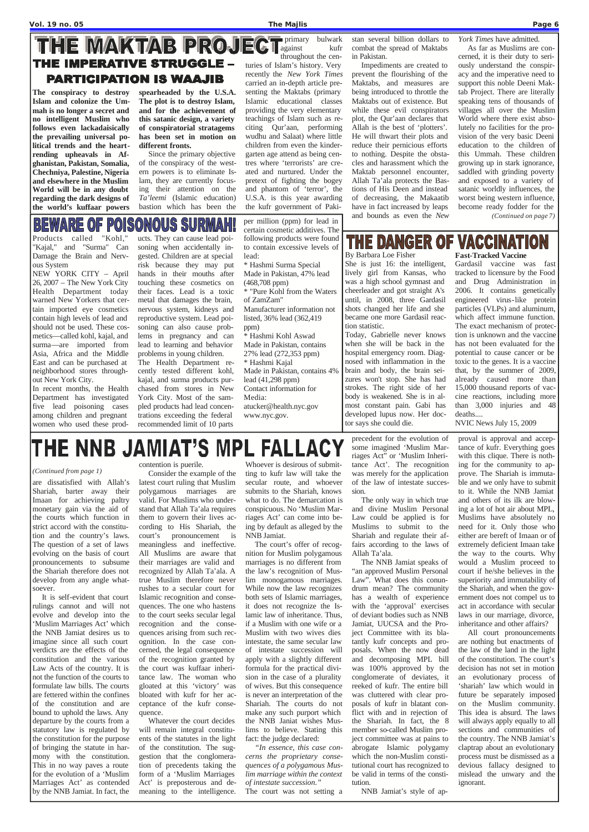## THE MAKTAB PROJECT Primary bulwark THE IMPERATIVE STRUGGLE – **PARTICIPATION IS WAAJIB**

are dissatisfied with Allah's Shariah, barter away their Imaan for achieving paltry monetary gain via the aid of the courts which function in strict accord with the constitution and the country's laws. The question of a set of laws evolving on the basis of court pronouncements to subsume the Shariah therefore does not develop from any angle whatsoever.

It is self-evident that court rulings cannot and will not evolve and develop into the 'Muslim Marriages Act' which

the NNB Jamiat desires us to imagine since all such court verdicts are the effects of the constitution and the various Law Acts of the country. It is not the function of the courts to formulate law bills. The courts are fettered within the confines of the constitution and are bound to uphold the laws. Any departure by the courts from a statutory law is regulated by the constitution for the purpose of bringing the statute in harmony with the constitution. This in no way paves a route for the evolution of a 'Muslim Marriages Act' as contended by the NNB Jamiat. In fact, the

## contention is puerile.

Consider the example of the latest court ruling that Muslim polygamous marriages are valid. For Muslims who understand that Allah Ta'ala requires them to govern their lives according to His Shariah, the court's pronouncement is meaningless and ineffective. All Muslims are aware that their marriages are valid and recognized by Allah Ta'ala. A true Muslim therefore never rushes to a secular court for Islamic recognition and consequences. The one who hastens to the court seeks secular legal recognition and the consequences arising from such recognition. In the case concerned, the legal consequence of the recognition granted by the court was kuffaar inheritance law. The woman who gloated at this 'victory' was bloated with kufr for her acceptance of the kufr consequence. Whatever the court decides will remain integral constituents of the statutes in the light of the constitution. The suggestion that the conglomeration of precedents taking the form of a 'Muslim Marriages Act' is preposterous and demeaning to the intelligence.

Whoever is desirous of submitting to kufr law will take the secular route, and whoever submits to the Shariah, knows what to do. The demarcation is conspicuous. No 'Muslim Marriages Act' can come into being by default as alleged by the NNB Jamiat.

The court's offer of recognition for Muslim polygamous marriages is no different from the law's recognition of Muslim monogamous marriages. While now the law recognizes both sets of Islamic marriages, it does not recognize the Islamic law of inheritance. Thus, if a Muslim with one wife or a Muslim with two wives dies intestate, the same secular law of intestate succession will apply with a slightly different formula for the practical division in the case of a plurality of wives. But this consequence is never an interpretation of the Shariah. The courts do not make any such purport which the NNB Janiat wishes Muslims to believe. Stating this fact: the judge declared: *"In essence, this case concerns the proprietary consequences of a polygamous Muslim marriage within the context of intestate succession."*

The court was not setting a

precedent for the evolution of some imagined 'Muslim Marriages Act" or 'Muslim Inheritance Act'. The recognition was merely for the application of the law of intestate succession.

The only way in which true and divine Muslim Personal Law could be applied is for Muslims to submit to the Shariah and regulate their affairs according to the laws of Allah Ta'ala.

The NNB Jamiat speaks of "an approved Muslim Personal Law". What does this conundrum mean? The community has a wealth of experience with the 'approval' exercises of deviant bodies such as NNB Jamiat, UUCSA and the Pro-

ject Committee with its blatantly kufr concepts and proposals. When the now dead and decomposing MPL bill was 100% approved by the conglomerate of deviates, it reeked of kufr. The entire bill was cluttered with clear proposals of kufr in blatant conflict with and in rejection of the Shariah. In fact, the 8 member so-called Muslim project committee was at pains to abrogate Islamic polygamy which the non-Muslim constitutional court has recognized to be valid in terms of the constitution.

NNB Jamiat's style of ap-

proval is approval and acceptance of kufr. Everything goes with this clique. There is nothing for the community to approve. The Shariah is immutable and we only have to submit to it. While the NNB Jamiat and others of its ilk are blowing a lot of hot air about MPL, Muslims have absolutely no need for it. Only those who either are bereft of Imaan or of extremely deficient Imaan take the way to the courts. Why would a Muslim proceed to court if he/she believes in the superiority and immutability of the Shariah, and when the government does not compel us to act in accordance with secular laws in our marriage, divorce, inheritance and other affairs? All court pronouncements are nothing but enactments of the law of the land in the light of the constitution. The court's decision has not set in motion an evolutionary process of 'shariah' law which would in future be separately imposed on the Muslim community. This idea is absurd. The laws will always apply equally to all sections and communities of the country. The NNB Jamiat's claptrap about an evolutionary process must be dismissed as a devious fallacy designed to mislead the unwary and the ignorant.

## THE DANGER OF VACCINATION **Fast-Tracked Vaccine**

### *(Continued from page 1)*

**The conspiracy to destroy Islam and colonize the Ummah is no longer a secret and no intelligent Muslim who follows even lackadaisically the prevailing universal political trends and the heartrending upheavals in Afghanistan, Pakistan, Somalia, Chechniya, Palestine, Nigeria and elsewhere in the Muslim World will be in any doubt regarding the dark designs of the world's kuffaar powers**

**spearheaded by the U.S.A. The plot is to destroy Islam, and for the achievement of this satanic design, a variety of conspiratorial stratagems has been set in motion on different fronts.**

Since the primary objective of the conspiracy of the western powers is to eliminate Islam, they are currently focusing their attention on the *Ta'leemi* (Islamic education) bastion which has been the

primary bulwark throughout the centuries of Islam's history. Very recently the *New York Times* carried an in-depth article presenting the Maktabs (primary Islamic educational classes providing the very elementary teachings of Islam such as reciting Qur'aan, performing wudhu and Salaat) where little children from even the kindergarten age attend as being centres where 'terrorists' are created and nurtured. Under the pretext of fighting the bogey and phantom of 'terror', the U.S.A. is this year awarding the kufr government of Paki-

stan several billion dollars to combat the spread of Maktabs in Pakistan.

Impediments are created to prevent the flourishing of the Maktabs, and measures are being introduced to throttle the Maktabs out of existence. But while these evil conspirators plot, the Qur'aan declares that Allah is the best of 'plotters'. He will thwart their plots and reduce their pernicious efforts to nothing. Despite the obstacles and harassment which the Maktab personnel encounter, Allah Ta'ala protects the Bastions of His Deen and instead of decreasing, the Makaatib have in fact increased by leaps and bounds as even the *New* 

*York Times* have admitted.

As far as Muslims are concerned, it is their duty to seriously understand the conspiracy and the imperative need to support this noble Deeni Maktab Project. There are literally speaking tens of thousands of villages all over the Muslim World where there exist absolutely no facilities for the provision of the very basic Deeni education to the children of this Ummah. These children growing up in stark ignorance, saddled with grinding poverty and exposed to a variety of satanic worldly influences, the worst being western influence, become ready fodder for the *(Continued on page 7)*

## BEWARE OF PO ONOUS SURMAH

Products called "Kohl," "Kajal," and "Surma" Can Damage the Brain and Nervous System

NEW YORK CITY – April 26, 2007 – The New York City Health Department today warned New Yorkers that certain imported eye cosmetics contain high levels of lead and should not be used. These cosmetics—called kohl, kajal, and surma—are imported from Asia, Africa and the Middle East and can be purchased at neighborhood stores throughout New York City.

In recent months, the Health Department has investigated five lead poisoning cases among children and pregnant women who used these prod-

ucts. They can cause lead poisoning when accidentally ingested. Children are at special risk because they may put hands in their mouths after touching these cosmetics on their faces. Lead is a toxic metal that damages the brain, nervous system, kidneys and reproductive system. Lead poisoning can also cause problems in pregnancy and can lead to learning and behavior problems in young children.

The Health Department recently tested different kohl, kajal, and surma products purchased from stores in New York City. Most of the sampled products had lead concentrations exceeding the federal recommended limit of 10 parts

per million (ppm) for lead in

certain cosmetic additives. The following products were found to contain excessive levels of lead: \* Hashmi Surma Special Made in Pakistan, 47% lead (468,708 ppm) \* "Pure Kohl from the Waters of ZamZam" Manufacturer information not listed, 36% lead (362,419 ppm) \* Hashmi Kohl Aswad Made in Pakistan, contains 27% lead (272,353 ppm) \* Hashmi Kajal Made in Pakistan, contains 4% lead (41,298 ppm) Contact information for Media: atucker@health.nyc.gov www.nyc.gov.

By Barbara Loe Fisher She is just 16: the intelligent, lively girl from Kansas, who was a high school gymnast and cheerleader and got straight A's until, in 2008, three Gardasil shots changed her life and she became one more Gardasil reaction statistic.

Today, Gabrielle never knows when she will be back in the hospital emergency room. Diagnosed with inflammation in the brain and body, the brain seizures won't stop. She has had strokes. The right side of her body is weakened. She is in almost constant pain. Gabi has developed lupus now. Her doctor says she could die.

Gardasil vaccine was fast

tracked to licensure by the Food and Drug Administration in 2006. It contains genetically engineered virus-like protein particles (VLPs) and aluminum, which affect immune function. The exact mechanism of protection is unknown and the vaccine has not been evaluated for the potential to cause cancer or be toxic to the genes. It is a vaccine that, by the summer of 2009, already caused more than 15,000 thousand reports of vaccine reactions, including more than 3,000 injuries and 48

deaths....

## THE NNB JAMIAT'S MPL FALLACY

NVIC News July 15, 2009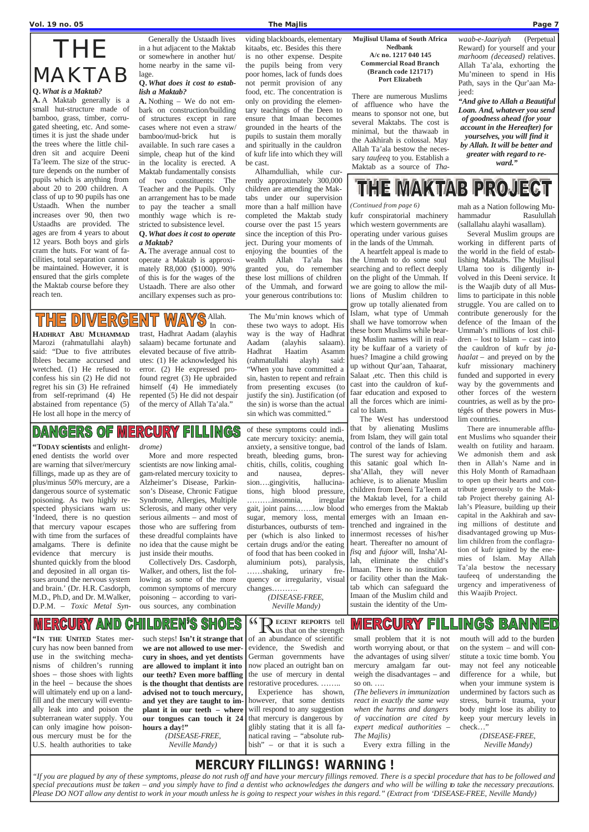$\mathbf{\perp}$  us that on the strength of an abundance of scientific evidence, the Swedish and German governments have now placed an outright ban on the use of mercury in dental restorative procedures. …….. Experience has shown, however, that some dentists will respond to any suggestion that mercury is dangerous by glibly stating that it is all fanatical raving – "absolute rubbish" – or that it is such a

small problem that it is not worth worrying about, or that the advantages of using silver/ mercury amalgam far outweigh the disadvantages – and so on. ….

*(The believers in immunization react in exactly the same way when the harms and dangers of vaccination are cited by expert medical authorities – The Majlis)* 

Every extra filling in the

mouth will add to the burden on the system – and will constitute a toxic time bomb. You may not feel any noticeable difference for a while, but when your immune system is undermined by factors such as stress, burn-it trauma, your body might lose its ability to keep your mercury levels in check…"

> *(DISEASE-FREE, Neville Mandy)*

**"IN THE UNITED** States mercury has now been banned from use in the switching mechanisms of children's running shoes – those shoes with lights in the heel – because the shoes will ultimately end up on a landfill and the mercury will eventually leak into and poison the subterranean water supply. You can only imagine how poisonous mercury must be for the U.S. health authorities to take

such steps! **Isn't it strange that we are not allowed to use mercury in shoes, and yet dentists are allowed to implant it into our teeth? Even more baffling is the thought that dentists are advised not to touch mercury, and yet they are taught to implant it in our teeth – where our tongues can touch it 24 hours a day!"** *(DISEASE-FREE, Neville Mandy)*

**"TODAY scientists** and enlightened dentists the world over are warning that silver/mercury fillings, made up as they are of plus/minus 50% mercury, are a dangerous source of systematic poisoning. As two highly respected physicians warn us: 'Indeed, there is no question that mercury vapour escapes with time from the surfaces of amalgams. There is definite evidence that mercury is shunted quickly from the blood and deposited in all organ tissues around the nervous system and brain.' (Dr. H.R. Casdorph, M.D., Ph.D, and Dr. M.Walker, D.P.M. – *Toxic Metal Syn-* *drome)*

More and more respected scientists are now linking amalgam-related mercury toxicity to Alzheimer's Disease, Parkinson's Disease, Chronic Fatigue Syndrome, Allergies, Multiple Sclerosis, and many other very serious ailments – and most of those who are suffering from these dreadful complaints have no idea that the cause might be just inside their mouths.

Collectively Drs. Casdorph, Walker, and others, list the following as some of the more common symptoms of mercury poisoning – according to various sources, any combination

of these symptoms could indi-

cate mercury toxicity: anemia, anxiety, a sensitive tongue, bad breath, bleeding gums, bronchitis, chills, colitis, coughing and nausea, depression….gingivitis, hallucinations, high blood pressure, ……….insomnia, irregular gait, joint pains…….low blood sugar, memory loss, mental disturbances, outbursts of temper (which is also linked to certain drugs and/or the eating of food that has been cooked in aluminium pots), paralysis, ……shaking, urinary frequency or irregularity, visual changes……….

*(DISEASE-FREE, Neville Mandy)*

## *MERCURY FILLINGS ! WARNING !*

*"If you are plagued by any of these symptoms, please do not rush off and have your mercury fillings removed. There is a special procedure that has to be followed and special precautions must be taken – and you simply have to find a dentist who acknowledges the dangers and who will be willing to take the necessary precautions. Please DO NOT allow any dentist to work in your mouth unless he is going to respect your wishes in this regard." (Extract from 'DISEASE-FREE, Neville Mandy)*

## THE MAKTAB

## **Q.** *What is a Maktab?*

**A.** A Maktab generally is a small hut-structure made of bamboo, grass, timber, corrugated sheeting, etc. And sometimes it is just the shade under the trees where the little children sit and acquire Deeni Ta'leem. The size of the structure depends on the number of pupils which is anything from about 20 to 200 children. A class of up to 90 pupils has one Ustaadh. When the number increases over 90, then two Ustaadhs are provided. The ages are from 4 years to about 12 years. Both boys and girls cram the huts. For want of facilities, total separation cannot be maintained. However, it is ensured that the girls complete the Maktab course before they reach ten.

Generally the Ustaadh lives in a hut adjacent to the Maktab or somewhere in another hut/ home nearby in the same village.

## **Q.** *What does it cost to establish a Maktab?*

### Allah. **THE DIVERG**  $\sqrt{\Delta}$  $\varphi$

**A.** Nothing – We do not embark on construction/building of structures except in rare cases where not even a straw/ bamboo/mud-brick hut is available. In such rare cases a simple, cheap hut of the kind in the locality is erected. A Maktab fundamentally consists of two constituents: The Teacher and the Pupils. Only an arrangement has to be made to pay the teacher a small monthly wage which is restricted to subsistence level.

## **Q.** *What does it cost to operate a Maktab?*

**A.** The average annual cost to operate a Maktab is approximately R8,000 (\$1000). 90% of this is for the wages of the Ustaadh. There are also other ancillary expenses such as providing blackboards, elementary kitaabs, etc. Besides this there is no other expense. Despite the pupils being from very poor homes, lack of funds does not permit provision of any food, etc. The concentration is only on providing the elementary teachings of the Deen to ensure that Imaan becomes grounded in the hearts of the pupils to sustain them morally and spiritually in the cauldron of kufr life into which they will

be cast.

Alhamdulliah, while currently approximately 300,000 children are attending the Maktabs under our supervision more than a half million have completed the Maktab study course over the past 15 years since the inception of this Project. During your moments of enjoying the bounties of the wealth Allah Ta'ala has granted you, do remember these lost millions of children of the Ummah, and forward your generous contributions to:

### **MERCURY AND C** HILDREN'S SHOES

## **Mujlisul Ulama of South Africa Nedbank A/c no. 1217 040 145 Commercial Road Branch (Branch code 121717) Port Elizabeth**

There are numerous Muslims of affluence who have the means to sponsor not one, but several Maktabs. The cost is minimal, but the thawaab in the Aakhirah is colossal. May Allah Ta'ala bestow the necessary *taufeeq* to you. Establish a Maktab as a source of *Tha-* *waab-e-Jaariyah* (Perpetual Reward) for yourself and your *marhoom (deceased)* relatives. Allah Ta'ala, exhorting the Mu'mineen to spend in His Path, says in the Qur'aan Majeed:

*"And give to Allah a Beautiful Loan. And, whatever you send of goodness ahead (for your account in the Hereafter) for yourselves, you will find it by Allah. It will be better and greater with regard to reward."*

## THE MAKTAB PROJECT

kufr conspiratorial machinery which western governments are operating under various guises in the lands of the Ummah.

A heartfelt appeal is made to the Ummah to do some soul searching and to reflect deeply on the plight of the Ummah. If we are going to allow the millions of Muslim children to grow up totally alienated from Islam, what type of Ummah shall we have tomorrow when these born Muslims while bearing Muslim names will in reality be kuffaar of a variety of hues? Imagine a child growing up without Qur'aan, Tahaarat, Salaat ,etc. Then this child is cast into the cauldron of kuffaar education and exposed to all the forces which are inimical to Islam.

The West has understood that by alienating Muslims from Islam, they will gain total control of the lands of Islam. The surest way for achieving this satanic goal which Insha'Allah, they will never achieve, is to alienate Muslim children from Deeni Ta'leem at the Maktab level, for a child who emerges from the Maktab emerges with an Imaan entrenched and ingrained in the innermost recesses of his/her heart. Thereafter no amount of *fisq* and *fujoor* will, Insha'Allah, eliminate the child's Imaan. There is no institution or facility other than the Maktab which can safeguard the Imaan of the Muslim child and sustain the identity of the Ummah as a Nation following Muhammadur Rasulullah (sallallahu alayhi wasallam).

Several Muslim groups are working in different parts of the world in the field of establishing Maktabs. The Mujlisul Ulama too is diligently involved in this Deeni service. It is the Waajib duty of all Muslims to participate in this noble struggle. You are called on to contribute generously for the defence of the Imaan of the Ummah's millions of lost children – lost to Islam – cast into the cauldron of kufr by *jahaalat* – and preyed on by the kufr missionary machinery funded and supported in every way by the governments and other forces of the western countries, as well as by the protégés of these powers in Muslim countries.

There are innumerable affluent Muslims who squander their wealth on futility and haraam. We admonish them and ask then in Allah's Name and in this Holy Month of Ramadhaan to open up their hearts and contribute generously to the Maktab Project thereby gaining Allah's Pleasure, building up their capital in the Aakhirah and saving millions of destitute and disadvantaged growing up Muslim children from the conflagration of kufr ignited by the enemies of Islam. May Allah Ta'ala bestow the necessary taufeeq of understanding the urgency and imperativeness of this Waajib Project.

## **MERCURY FILLINGS BANNED (4)** ECENT REPORTS tell

## *(Continued from page 6)*

**HADHRAT ABU MUHAMMAD** Marozi (rahmatullahi alayh) said: "Due to five attributes Iblees became accursed and wretched. (1) He refused to confess his sin (2) He did not regret his sin (3) He refrained from self-reprimand (4) He abstained from repentance (5) He lost all hope in the mercy of

In contrast, Hadhrat Aadam (alayhis salaam) became fortunate and elevated because of five attributes: (1) He acknowledged his error. (2) He expressed profound regret (3) He upbraided himself (4) He immediately repented (5) He did not despair of the mercy of Allah Ta'ala."

## **DANGERS OF M RCURY FILLINGS**

The Mu'min knows which of these two ways to adopt. His way is the way of Hadhrat Aadam (alayhis salaam). Hadhrat Haatim Asamm (rahmatullahi alayh) said: "When you have committed a sin, hasten to repent and refrain from presenting excuses (to justify the sin). Justification (of the sin) is worse than the actual sin which was committed."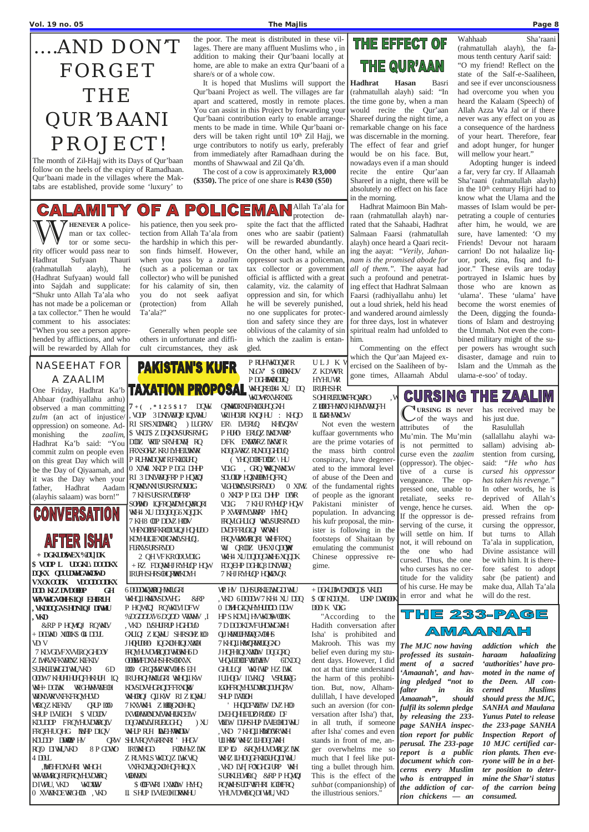## ….AND DON'T FORGET THE QUR'BAANI PROJECT!

The month of Zil-Hajj with its Days of Qur'baan follow on the heels of the expiry of Ramadhaan. Qur'baani made in the villages where the Maktabs are established, provide some 'luxury' to

the poor. The meat is distributed in these villages. There are many affluent Muslims who , in addition to making their Qur'baani locally at home, are able to make an extra Qur'baani of a share/s or of a whole cow.

+ DGLWK0 XODK\$ OL4 DDUL VD\ V 7 KLVGLVFXVVIRQGHDOV Z LWKWFKWOWZ KLFKLV SURKHUMGDIWHU,VKD 6D ODW7 KHUHHUHQFHKHUH LQ WH+ DGWK WRGHWHWDEOH WONWRVAFKFRQYHUVD WRQZKLFKIV QRLP LOO SHUP LWIECH \$ VIDUDV KDUDDP FRQYHUVDWRQLV FRQFHUQHG INNP DLOV KDUDP DWOWP HV RQQ DIWHU, VKD 8 P GDWO RUMHOD 4 DDUL , WEHED YOHRI WHICH WWWWQIRUFRQYHUUDNRQ DIWHU, VKD WKDWW

0 XWANDEWRGHDQ, WD

It is hoped that Muslims will support the Qur'baani Project as well. The villages are far apart and scattered, mostly in remote places. You can assist in this Project by forwarding your Qur'baani contribution early to enable arrangements to be made in time. While Qur'baani orders will be taken right until 10<sup>th</sup> Zil Hajj, we urge contributors to notify us early, preferably from immediately after Ramadhaan during the months of Shawwaal and Zil Qa'dh.

The cost of a cow is approximately **R3,000 (\$350).** The price of one share is **R430 (\$50)**



**, VKD** &RP P HQWLQJ RQWKLV

## + DGKUD0WDXODQD\$ VKUDI \$ OLYMP DWOODK DOD K VDG

**PAKISTAN'S KUFR** One Friday, Hadhrat Ka'b **TAXATION PROPOSAL** WHOREOH XU DQ , VODP 3DNLVMQLP LQLVMLJ RI SRSXOMRQ ) LUGRAV \$ WIT\$ ZDQKDASURSRVHG DODZ WRIP SRVHDWQ RQ FRXSOHZ KRJIM-FIUWWR P RUHWADQWZ RFKIOUHQ 0 XIWL XKDP P DG1 DHP RI 3 DNMMQFRP P HQMQJ Aadam RQWAMMUSURSRVLOOG 7 KHSURSRVLOVFRP SOHWQ LQFRQWUDYHQWRQRI WKH4 XU DDQDQG6XQQDK 7 KH8 ODP DDVZHODV VHFXODUFKRODUQJHQHDO KDYHUCHEXDGWANSHQL FLRXVSURSRVDO 2 QH VFKRODUNDLG + RZ FDQWKHJRYHUQP HQW IRUFHSHRSOHQRWRKDYH

6DODDXWQWLROQHWKLUGRI WHQLIKNWOSDWHG &RP P HQWLQJ RQWKLVIDFW *%DGDDLXV6DQDD* VWDWHV ,I WD LISHURUP HGHDUQ GALLQI ZLQMAU SHRSOHZLOO JHQHIOO LQGXOHLQIXWOH FRQYHUVDWLRQDIWHUWKH6D **ODMEDXVESHRSOHXVX** DOOD GROGRAF WAARDHESEH IRU**HQHMILGRI WHQLIKW** KDASDAH GRQDFFRXQW WHORQJ QLKW RIZIQWHU 7KXVWKH\ ZLOLQGXOJHLQ IXWONMONDNVWHUKDELW DQGWAMARUELGGHQ ) XU WHP RH MEHWADW QRW SHUNRQV%RRNRI ' HHGV FORMHVZ LWK Z RUVKLSWKDQZ LWKVLQ VXFKDVLQGXDHQFHLQIX WONDON \$ OUFWRI IXWOLW HYHQ LI SHUP LVVLEOHDRWKHU

P RUHWADQWZ R NGV \$ ODKNDV P DGHL**INDI**DUQ WKDWRXVKRXOG QRMQRXUFKIQHQGXH WRIHDURI KXQIHU : KHQD ER\ LVERUQ KHLVQRW P HHQ ERUQZ LWKDWRP DFK EXNORZLWXWZR KDQGWWZRUNDQGHDUQ ( YHQDORFDODZ\ HU VDLG, GRQ WALQNWEDW SDUOLDP HUXMOOMHQFRQ VLGHUWALNSURSRVDO 0 XIVL 0 XKDP P DG1 DHP DOR

observed a man committing  $7 + (-, *125$ \$17 DQW Ahbaar (radhiyallahu anhu) *zulm* (an act of injustice/ oppression) on someone. Admonishing the *zaalim*, Hadhrat Ka'b said: "You commit zulm on people even on this great Day which will be the Day of Qiyaamah, and it was the Day when your father, Hadhrat (alayhis salaam) was born!"

> "According to the Hadith conversation after

**CURSING THE ZAALIM** 

VDLG 7 KHJRYHUQP HQW P XVOHVLVINNRP HYHQ **FROMOTILQ WALSURSRVDO** DADFFRUGLQJ WRWAH **FRQVMXWRQRI WHFRXQ** W<sub>W</sub> QRODZ UHSXJQDQWR WH4 XUDQDQGWH6XQQDK FDQEHP DGHLQ3DNLVWDQ 7 KHJRYHUQP HQKWDVQR

WE HV DUHSURKLEIWHOD WU ,VKD 6DODDW7KH4 XU DDQ 0 DMHGQVHYHUDD DDW HPS KDM HVWKDWODK 7 DDODKDVFUHDWHGWKH QU KNRUHNQGVOHS 7 KHQLI KWARNNIQGXO JHQHIQIXWQW\ DQGQRO VH**QMHODFWYIWEN** 6TXDQ GHULQJ WKHWP HZ LWK IULHQGV ILVKLQI VSRUMQG LGOHROYHUUNKQDUHQRW **SHLP LWIEDH** ' HQLDFWALW DVZHO DJEHQHIEILØRUOGO DF WALW DUHSHUP LVMEOHDIWHU , VKD 7 KHQLIKWOOR WAH ULKRV WHZ ILHDQGWH IDP LO\ &RQYHUVDWLRQZLWK WHZ ILHDQGFKIOUHQDIWU , WED LIVE FOXCHGIURP WH SURKLELWIRQ &RP P HQWQJ RQWHSUDFWHRI IGDIFRQ YHUVDWRQDI WHU, VKD

**HYHUWR** IRUFHSHR SCHIRUELUWFROWRO Z KODFHWNXJ KUHVLVWOFH IL **INRHWADW** 

ULJ K<sup>V</sup> **Z KDWR** 

WWW HENEVER A police-<br>tor or some security officer would pass poer to man or tax collector or some security officer would pass near to Hadhrat Sufyaan Thauri (rahmatullah alayh), he (Hadhrat Sufyaan) would fall into Sajdah and supplicate: "Shukr unto Allah Ta'ala who has not made be a policeman or a tax collector." Then he would comment to his associates: "When you see a person apprehended by afflictions, and who will be rewarded by Allah for

> Not even the western kuffaar governments who are the prime votaries of the mass birth control conspiracy, have degenerated to the immoral level of abuse of the Deen and of the fundamental rights of people as the ignorant Pakistani minister of population. In advancing his kufr proposal, the minister is following in the footsteps of Shaitaan by emulating the communist Chinese oppressive regime.

## NASEEHAT FOR A ZAALIM

C

**URSING IS** never of the ways and attributes of the Mu'min. The Mu'min is not permitted to curse even the *zaalim* (oppressor). The objective of a curse is vengeance. The oppressed one, unable to retaliate, seeks revenge, hence he curses. If the oppressor is deserving of the curse, it will settle on him. If not, it will rebound on the one who had cursed. Thus, the one who curses has no certitude for the validity of his curse. He may be in error and what he

has received may be his just due.

Rasulullah

(sallallahu alayhi wasallam) advising abstention from cursing, said: *"He who has cursed his oppressor has taken his revenge."*  In other words, he is deprived of Allah's aid. When the oppressed refrains from cursing the oppressor, but turns to Allah Ta'ala in supplication, Divine assistance will be with him. It is therefore safest to adopt sabr (be patient) and make dua, Allah Ta'ala will do the rest.



**Hadhrat Hasan** Basri (rahmatullah alayh) said: "In the time gone by, when a man would recite the Qur'aan Shareef during the night time, a remarkable change on his face was discernable in the morning. The effect of fear and grief would be on his face. But, nowadays even if a man should recite the entire Qur'aan Shareef in a night, there will be absolutely no effect on his face in the morning.

Isha' is prohibited and Makrooh. This was my belief even during my student days. However, I did not at that time understand the harm of this prohibition. But, now, Alhamdulillah, I have developed such an aversion (for conversation after Isha') that, in all truth, if someone after Isha' comes and even stands in front of me, anger overwhelms me so much that I feel like putting a bullet through him. This is the effect of the *suhbat* (companionship) of the illustrious seniors." *The MJC now having professed its sustainment of a sacred 'Amaanah', and having pledged "not to falter in its Amaanah"***,** *should fulfil its solemn pledge by releasing the 233 page SANHA inspection report for public perusal. The 233-page report is a public document which concerns every Muslim who is entrapped in the addiction of carrion chickens — an* 

## <u>AIMIAVAINI</u>

Hadhrat Maimoon Bin Mahraan (rahmatullah alayh) narrated that the Sahaabi, Hadhrat Salmaan Faarsi (rahmatullah alayh) once heard a Qaari reciting the aayat: *"Verily, Jahannam is the promised abode for all of them.".* The aayat had such a profound and penetrating effect that Hadhrat Salmaan Faarsi (radhiyallahu anhu) let out a loud shriek, held his head and wandered around aimlessly for three days, lost in whatever spiritual realm had unfolded to him.

Commenting on the effect which the Qur'aan Majeed exercised on the Saaliheen of bygone times, Allaamah Abdul Wahhaab Sha'raani (rahmatullah alayh), the famous tenth century Aarif said: "O my friend! Reflect on the state of the Salf-e-Saaliheen, and see if ever unconsciousness had overcome you when you heard the Kalaam (Speech) of Allah Azza Wa Jal or if there never was any effect on you as a consequence of the hardness of your heart. Therefore, fear and adopt hunger, for hunger will mellow your heart."

Adopting hunger is indeed a far, very far cry. If Allaamah Sha'raani (rahmatullah alayh) in the 10<sup>th</sup> century Hijri had to know what the Ulama and the masses of Islam would be perpetrating a couple of centuries after him, he would, we are sure, have lamented: 'O my Friends! Devour not haraam carrion! Do not halaalize liquor, pork, zina, fisq and fujoor." These evils are today portrayed in Islamic hues by those who are known as 'ulama'. These 'ulama' have become the worst enemies of the Deen, digging the foundations of Islam and destroying the Ummah. Not even the combined military might of the super powers has wrought such disaster, damage and ruin to Islam and the Ummah as the ulama-e-soo' of today.

his patience, then you seek protection from Allah Ta'ala from the hardship in which this person finds himself. However, when you pass by a *zaalim* (such as a policeman or tax collector) who will be punished for his calamity of sin, then you do not seek aafiyat (protection) from Allah Ta'ala?"

Generally when people see others in unfortunate and difficult circumstances, they ask

### Allah Ta'ala for POLIC CALAMIT OF.  $\Delta$ EMA protection de-

spite the fact that the afflicted ones who are saabir (patient) will be rewarded abundantly. On the other hand, while an oppressor such as a policeman, tax collector or government official is afflicted with a great calamity, viz. the calamity of oppression and sin, for which he will be severely punished, no one supplicates for protection and safety since they are oblivious of the calamity of sin in which the zaalim is entangled.

## THE EFFECT OF THE QUR'AAN

*addiction which the haraam halaalizing 'authorities' have promoted in the name of the Deen. All concerned Muslims should press the MJC, SANHA and Maulana Yunus Patel to release the 233-page SANHA Inspection Report of 10 MJC certified carrion plants. Then everyone will be in a better position to determine the Shar'i status of the carrion being consumed.*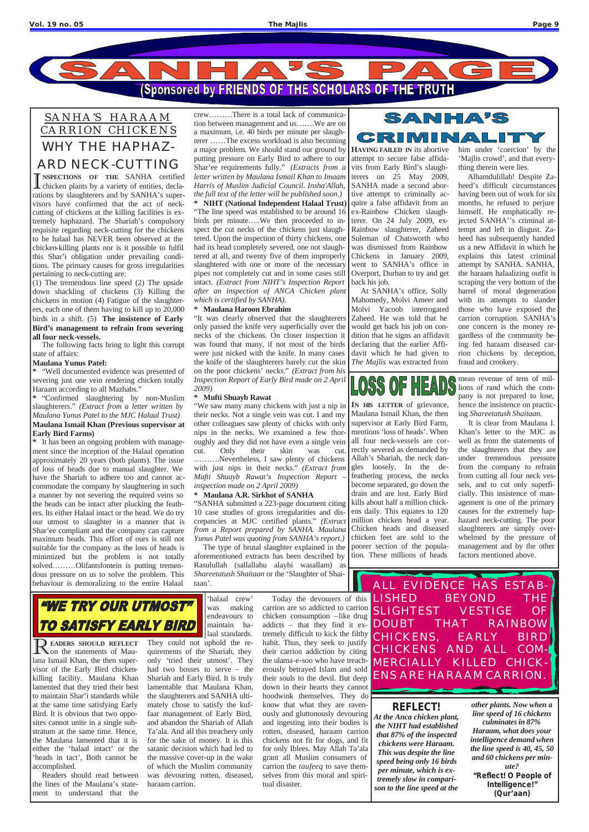

## *SANHA'S HARAAM CARRION CHICKENS* WHY THE HAPHAZ-ARD NECK-CUTTING

I NSPECTIONS OF THE SANHA certified<br>chicken plants by a variety of entities, decla-**NSPECTIONS OF THE** SANHA certified rations by slaughterers and by SANHA's supervisors have confirmed that the act of neckcutting of chickens at the killing facilities is extremely haphazard. The Shariah's compulsory requisite regarding neck-cutting for the chickens to be halaal has NEVER been observed at the chicken-killing plants nor is it possible to fulfil this Shar'i obligation under prevailing conditions. The primary causes for gross irregularities pertaining to neck-cutting are:

(1) The tremendous line speed (2) The upside down shackling of chickens (3) Killing the chickens in motion (4) Fatigue of the slaughterers, each one of them having to kill up to 20,000 birds in a shift. (5) **The insistence of Early Bird's management to refrain from severing all four neck-vessels.**

The following facts bring to light this corrupt state of affairs:

## **Maulana Yunus Patel:**

**\*** "Well documented evidence was presented of severing just one vein rendering chicken totally Haraam according to all Mazhabs."

**\*** "Confirmed slaughtering by non-Muslim slaughterers." *(Extract from a letter written by Maulana Yunus Patel to the MJC Halaal Trust)* **Maulana Ismail Khan (Previous supervisor at Early Bird Farms)**

**\*** It has been an ongoing problem with management since the inception of the Halaal operation approximately 20 years (both plants). The issue of loss of heads due to manual slaughter. We have the Shariah to adhere too and cannot accommodate the company by slaughtering in such a manner by not severing the required veins so the heads can be intact after plucking the feathers. Its either Halaal intact or the head. We do try our utmost to slaughter in a manner that is Shar'ee compliant and the company can capture maximum heads. This effort of ours is still not suitable for the company as the loss of heads is minimized but the problem is not totally solved………Olifantsfontein is putting tremendous pressure on us to solve the problem. This behaviour is demoralizing to the entire Halaal

SANHA'S  $GERIINIII$  $\sqrt{\Delta}$ **HAVING FAILED IN** its abortive

crew………There is a total lack of communication between management and us…….We are on a maximum, i.e. 40 birds per minute per slaughterer ……The excess workload is also becoming a major problem. We should stand our ground by putting pressure on Early Bird to adhere to our Shar'ee requirements fully." *(Extracts from a letter written by Maulana Ismail Khan to Imaam Harris of Muslim Judicial Council. Insha'Allah, the full text of the letter will be published soon.)* **\* NIHT (National Independent Halaal Trust)** "The line speed was established to be around 16 birds per minute…..We then proceeded to inspect the cut necks of the chickens just slaughtered. Upon the inspection of thirty chickens, one had its head completely severed, one not slaughtered at all, and twenty five of them improperly slaughtered with one or more of the necessary pipes not completely cut and in some cases still intact. *(Extract from NIHT's Inspection Report after an inspection of ANCA Chicken plant which is certified by SANHA).*

## **\* Maulana Haroon Ebrahim**

"It was clearly observed that the slaughterers only passed the knife very superficially over the necks of the chickens. On closer inspection it was found that many, if not most of the birds were just nicked with the knife. In many cases the knife of the slaughterers barely cut the skin on the poor chickens' necks." *(Extract from his Inspection Report of Early Bird made on 2 April 2009)*

## **\* Mufti Shuayb Rawat**

"We saw many many chickens with just a nip in their necks. Not a single vein was cut. I and my other colleagues saw plenty of chicks with only nips in the necks. We examined a few thoroughly and they did not have even a single vein cut. Only their skin was cut. ……….Nevertheless, I saw plenty of chickens with just nips in their necks." *(Extract from Mufti Shuayb Rawat's Inspection Report – inspection made on 2 April 2009)* 

## **\* Maulana A.R. Sirkhot of SANHA**

"SANHA submitted a 223-page document citing 10 case studies of gross irregularities and discrepancies at MJC certified plants." *(Extract from a Report prepared by SANHA. Maulana Yunus Patel was quoting from SANHA's report.)*

The type of brutal slaughter explained in the aforementioned extracts has been described by Rasulullah (sallallahu alayhi wasallam) as *Shareetatush Shaitaan* or the 'Slaughter of Shaitaan'.

attempt to secure false affidavits from Early Bird's slaughterers on 25 May 2009, SANHA made a second abortive attempt to criminally acquire a false affidavit from an ex-Rainbow Chicken slaughterer. On 24 July 2009, ex-Rainbow slaughterer, Zaheed Suleman of Chatsworth who was dismissed from Rainbow Chickens in January 2009, went to SANHA's office in Overport, Durban to try and get back his job.

At SANHA's office, Solly Mahomedy, Molvi Ameer and Molvi Yacoob interrogated Zaheed. He was told that he would get back his job on condition that he signs an affidavit declaring that the earlier Affidavit which he had given to *The Majlis* was extracted from

him under 'coercion' by the 'Majlis crowd', and that everything therein were lies.

Alhamdulillah! Despite Zaheed's difficult circumstances having been out of work for six months, he refused to perjure himself. He emphatically rejected SANHA''s criminal attempt and left in disgust. Zaheed has subsequently handed us a new Affidavit in which he explains this latest criminal attempt by SANHA. SANHA, the haraam halaalizing outfit is scraping the very bottom of the barrel of moral degeneration with its attempts to slander those who have exposed the carrion corruption. SANHA's one concern is the money regardless of the community being fed haraam diseased carrion chickens by deception, fraud and crookery.

## $[0]$  $\left|\frac{1}{n}\right|\equiv\frac{1}{n}$

**IN HIS LETTER** of grievance, Maulana Ismail Khan, the then supervisor at Early Bird Farm, mentions 'loss of heads'. When all four neck-vessels are correctly severed as demanded by Allah's Shariah, the neck dangles loosely. In the defeathering process, the necks become separated, go down the drain and are lost. Early Bird kills about half a million chickens daily. This equates to 120 million chicken head a year. Chicken heads and diseased chicken feet are sold to the poorer section of the population. These millions of heads

mean revenue of tens of millions of rand which the company is not prepared to lose, hence the insistence on practicing *Shareetatush Shaitaan.*

It is clear from Maulana I. Khan's letter to the MJC as well as from the statements of the slaughterers that they are under tremendous pressure from the company to refrain from cutting all four neck vessels, and to cut only superficially. This insistence of management is one of the primary causes for the extremely haphazard neck-cutting. The poor slaughterers are simply overwhelmed by the pressure of management and by the other factors mentioned above.



ALL EVIDENCE HAS ESTAB-



R**EADERS SHOULD REFLECT** on the statements of Maulana Ismail Khan, the then supervisor of the Early Bird chickenkilling facility. Maulana Khan lamented that they tried their best to maintain Shar'i standards while at the same time satisfying Early Bird. It is obvious that two opposites cannot unite in a single substratum at the same time. Hence, the Maulana lamented that it is either the 'halaal intact' or the 'heads in tact', Both cannot be accomplished.

Readers should read between the lines of the Maulana's statement to understand that the

'halaal crew' was making endeavours to maintain ha-

laal standards.

LISHED BEYOND THE SLIGHTEST VESTIGE OF DOUBT THAT RAINBOW Today the devourers of this carrion are so addicted to carrion chicken consumption -like drug addicts – that they find it extremely difficult to kick the filthy habit. Thus, they seek to justify their carrion addiction by citing the ulama-e-soo who have treacherously betrayed Islam and sold their souls to the devil. But deep down in their hearts they cannot hoodwink themselves. They do know that what they are ravenously and gluttonously devouring and ingesting into their bodies is rotten, diseased, haraam carrion chickens not fit for dogs, and fit for only Iblees. May Allah Ta'ala grant all Muslim consumers of carrion the *taufeeq* to save themselves from this moral and spiri-

They could not uphold the requirements of the Shariah, they only 'tried their utmost'. They had two bosses to serve – the Shariah and Early Bird. It is truly lamentable that Maulana Khan, the slaughterers and SANHA ultimately chose to satisfy the kuffaar management of Early Bird, and abandon the Shariah of Allah Ta'ala. And all this treachery only for the sake of money. It is this satanic decision which had led to the massive cover-up in the wake of which the Muslim community was devouring rotten, diseased, haraam carrion.

tual disaster.

*REFLECT! At the Anca chicken plant, the NIHT had established that 87% of the inspected chickens were Haraam. This was despite the line speed being only 16 birds per minute, which is extremely slow in comparison to the line speed at the* 

*other plants. Now when a line speed of 16 chickens culminates in 87% Haraam, what does your intelligence demand when the line speed is 40, 45, 50 and 60 chickens per minute? "Reflect! O People of Intelligence!" (Qur'aan)*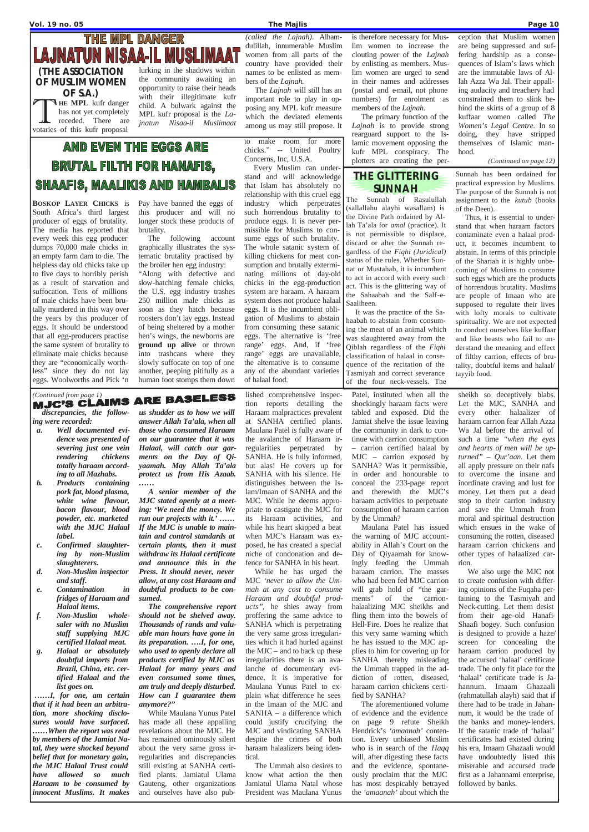## **THE MPL DANGER LAJNATUN NISAA-IL MUSLIMAAT**

*discrepancies, the following were recorded:*

- *a. Well documented evidence was presented of severing just one vein rendering chickens totally haraam according to all Mazhabs.*
- *b. Products containing pork fat, blood plasma, white wine flavour, bacon flavour, blood powder, etc. marketed with the MJC Halaal label.*
- *c. Confirmed slaughtering by non-Muslim slaughterers.*
- *d. Non-Muslim inspector and staff.*
- *e. Contamination in fridges of Haraam and Halaal items.*
- *f. Non-Muslim wholesaler with no Muslim*

*staff supplying MJC*

*certified Halaal meat. g. Halaal or absolutely doubtful imports from Brazil, China, etc. certified Halaal and the list goes on.*

*……I, for one, am certain that if it had been an arbitration, more shocking disclosures would have surfaced. ……When the report was read by members of the Jamiat Natal, they were shocked beyond belief that for monetary gain, the MJC Halaal Trust could have allowed so much Haraam to be consumed by innocent Muslims. It makes*

*us shudder as to how we will answer Allah Ta'ala, when all those who consumed Haraam on our guarantee that it was Halaal, will catch our garments on the Day of Qiyaamah. May Allah Ta'ala protect us from His Azaab. ……*

*A senior member of the MJC stated openly at a meeting: 'We need the money. We run our projects with it.' …… If the MJC is unable to maintain and control standards at certain plants, then it must withdraw its Halaal certificate and announce this in the Press. It should never, never allow, at any cost Haraam and doubtful products to be consumed.*

*The comprehensive report should not be shelved away. Thousands of rands and valu-*

*able man hours have gone in its preparation. ….I, for one, who used to openly declare all products certified by MJC as Halaal for many years and even consumed some times, am truly and deeply disturbed. How can I guarantee them anymore?"*

While Maulana Yunus Patel has made all these appalling revelations about the MJC. He has remained ominously silent about the very same gross irregularities and discrepancies still existing at SANHA certified plants. Jamiatul Ulama Gauteng, other organizations and ourselves have also published comprehensive inspection reports detailing the Haraam malpractices prevalent at SANHA certified plants. Maulana Patel is fully aware of the avalanche of Haraam irregularities perpetrated by SANHA. He is fully informed, but alas! He covers up for SANHA with his silence. He distinguishes between the Islam/Imaan of SANHA and the MJC. While he deems appropriate to castigate the MJC for its Haraam activities, and while his heart skipped a beat when MJC's Haraam was exposed, he has created a special niche of condonation and defence for SANHA in his heart.

While he has urged the MJC *'never to allow the Ummah at any cost to consume Haraam and doubtful products"*, he shies away from proffering the same advice to SANHA which is perpetrating

the very same gross irregularities which it had hurled against the MJC – and to back up these irregularities there is an avalanche of documentary evidence. It is imperative for Maulana Yunus Patel to explain what difference he sees in the Imaan of the MJC and SANHA – a difference which could justify crucifying the MJC and vindicating SANHA despite the crimes of both haraam halaalizers being identical.

The Ummah also desires to know what action the then Jamiatul Ulama Natal whose President was Maulana Yunus

Patel, instituted when all the shockingly haraam facts were tabled and exposed. Did the Jamiat shelve the issue leaving the community in dark to continue with carrion consumption – carrion certified halaal by MJC – carrion exposed by SANHA? Was it permissible, in order and honourable to conceal the 233-page report and therewith the MJC's haraam activities to perpetuate consumption of haraam carrion by the Ummah?

Maulana Patel has issued the warning of MJC accountability in Allah's Court on the Day of Qiyaamah for knowingly feeding the Ummah haraam carrion. The masses who had been fed MJC carrion will grab hold of "the garments" of the carrionhalaalizing MJC sheikhs and fling them into the bowels of Hell-Fire. Does he realize that this very same warning which he has issued to the MJC applies to him for covering up for SANHA thereby misleading the Ummah trapped in the addiction of rotten, diseased, haraam carrion chickens certified by SANHA? The aforementioned volume of evidence and the evidence on page 9 refute Sheikh Hendrick's *'amaanah'* contention. Every unbiased Muslim who is in search of the *Haqq* will, after digesting these facts and the evidence, spontaneously proclaim that the MJC has most despicably betrayed the *'amaanah'* about which the

sheikh so deceptively blabs. Let the MJC, SANHA and every other halaalizer of haraam carrion fear Allah Azza Wa Jal before the arrival of such a time *"when the eyes and hearts of men will be upturned" – Qur'aan.* Let them all apply pressure on their nafs to overcome the insane and inordinate craving and lust for money. Let them put a dead stop to their carrion industry and save the Ummah from moral and spiritual destruction which ensues in the wake of consuming the rotten, diseased haraam carrion chickens and other types of halaalized carrion.

We also urge the MJC not to create confusion with differing opinions of the Fuqaha pertaining to the Tasmiyah and Neck-cutting. Let them desist from their age-old Hanafi-Shaafi bogey. Such confusion is designed to provide a haze/ screen for concealing the haraam carrion produced by the accursed 'halaal' certificate trade. The only fit place for the 'halaal' certificate trade is Jahannum. Imaam Ghazaali (rahmatullah alayh) said that if there had to be trade in Jahannum, it would be the trade of the banks and money-lenders. If the satanic trade of 'halaal' certificates had existed during his era, Imaam Ghazaali would have undoubtedly listed this miserable and accursed trade first as a Jahannami enterprise, followed by banks.

**(THE ASSOCIATION OF MUSLIM WOMEN OF S.A.)** THE MPL kufr danger<br>has not yet completely<br>receded. There are<br>votaries of this kufr proposal **HE MPL** kufr danger has not yet completely receded. There are

lurking in the shadows within the community awaiting an opportunity to raise their heads with their illegitimate kufr child. A bulwark against the MPL kufr proposal is the *Lajnatun Nisaa-il Muslimaat*

## *(called the Lajnah)*. Alhamdulillah, innumerable Muslim women from all parts of the country have provided their names to be enlisted as members of the *Lajnah.*

The *Lajnah* will still has an important role to play in opposing any MPL kufr measure which the deviated elements among us may still propose. It is therefore necessary for Muslim women to increase the clouting power of the *Lajnah* by enlisting as members. Muslim women are urged to send in their names and addresses (postal and e-mail, not phone numbers) for enrolment as members of the *Lajnah.*

The primary function of the *Lajnah* is to provide strong rearguard support to the Islamic movement opposing the kufr MPL conspiracy. The plotters are creating the perception that Muslim women are being suppressed and suffering hardship as a consequences of Islam's laws which are the immutable laws of Allah Azza Wa Jal. Their appalling audacity and treachery had constrained them to slink behind the skirts of a group of 8 kuffaar women called *The Women's Legal Centre.* In so doing, they have stripped themselves of Islamic manhood.

*(Continued on page 12)*

**BOSKOP LAYER CHICKS** is South Africa's third largest producer of eggs of brutality. The media has reported that every week this egg producer dumps 70,000 male chicks in an empty farm dam to die. The helpless day old chicks take up to five days to horribly perish as a result of starvation and suffocation. Tens of millions of male chicks have been brutally murdered in this way over the years by this producer of eggs. It should be understood that all egg-producers practise the same system of brutality to eliminate male chicks because they are "economically worthless" since they do not lay eggs. Woolworths and Pick 'n

Pay have banned the eggs of

this producer and will no longer stock these products of brutality. The following account

graphically illustrates the systematic brutality practised by the broiler hen egg industry:

"Along with defective and slow-hatching female chicks, the U.S. egg industry trashes 250 million male chicks as soon as they hatch because roosters don't lay eggs. Instead of being sheltered by a mother hen's wings, the newborns are **ground up alive** or thrown into trashcans where they slowly suffocate on top of one another, peeping pitifully as a human foot stomps them down

## **MJC'S CLAIMS ARE BASELESS**

to make room for more chicks." -- United Poultry Concerns, Inc, U.S.A.

Every Muslim can understand and will acknowledge that Islam has absolutely no relationship with this cruel egg industry which perpetrates such horrendous brutality to produce eggs. It is never permissible for Muslims to consume eggs of such brutality. The whole satanic system of killing chickens for meat consumption and brutally exterminating millions of day-old chicks in the egg-production system are haraam. A haraam system does not produce halaal eggs. It is the incumbent obligation of Muslims to abstain from consuming these satanic eggs. The alternative is 'free range' eggs. And, if 'free range' eggs are unavailable, the alternative is to consume any of the abundant varieties of halaal food.

## **THE GLITTERING SUNNAH**

The Sunnah of Rasulullah (sallallahu alayhi wasallam) is the Divine Path ordained by Allah Ta'ala for *amal* (practice). It is not permissible to displace, discard or alter the Sunnah regardless of the *Fiqhi (Juridical)*  status of the rules. Whether Sunnat or Mustahab, it is incumbent to act in accord with every such act. This is the glittering way of the Sahaabah and the Salf-e-Saaliheen.

It was the practice of the Sahaabah to abstain from consuming the meat of an animal which was slaughtered away from the Qiblah regardless of the *Fiqhi* classification of halaal in consequence of the recitation of the Tasmiyah and correct severance of the four neck-vessels. The

Sunnah has been ordained for practical expression by Muslims. The purpose of the Sunnah is not assignment to the *kutub* (books of the Deen).

Thus, it is essential to understand that when haraam factors contaminate even a halaal product, it becomes incumbent to abstain. In terms of this principle of the Shariah it is highly unbecoming of Muslims to consume such eggs which are the products of horrendous brutality. Muslims are people of Imaan who are supposed to regulate their lives with lofty morals to cultivate spirituality. We are not expected to conduct ourselves like kuffaar and like beasts who fail to understand the meaning and effect of filthy carrion, effects of brutality, doubtful items and halaal/ tayyib food.

## **AND EVEN THE EGGS ARE BRUTAL FILTH FOR HANAFIS, SHAAFIS, MAALIKIS AND HAMBALIS**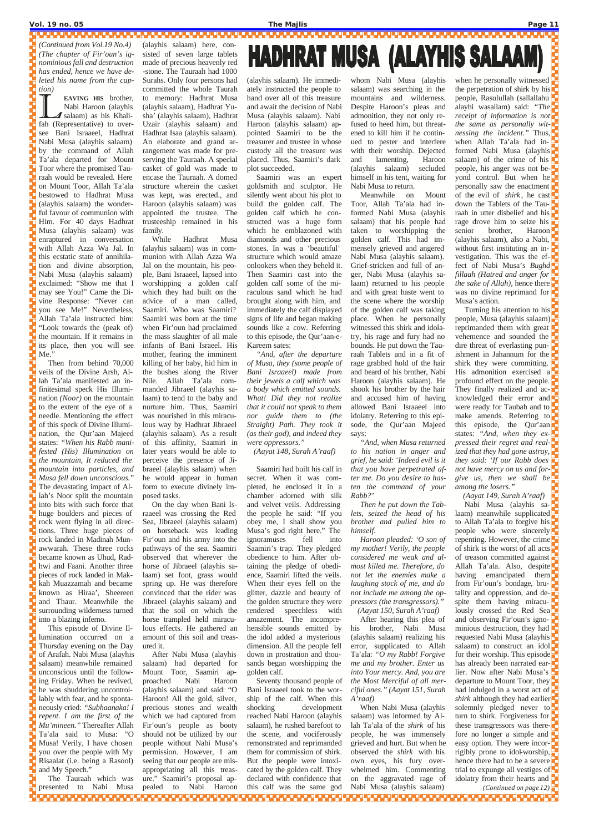### **Vol. 19 no. 05 The Majlis Page 11**

EAVING HIS brother,<br>Nabi Haroon (alayhis<br>fah (Representative) to over-**EAVING HIS** brother, Nabi Haroon (alayhis salaam) as his Khalisee Bani Israaeel, Hadhrat Nabi Musa (alayhis salaam) by the command of Allah Ta'ala departed for Mount Toor where the promised Tauraah would be revealed. Here on Mount Toor, Allah Ta'ala bestowed to Hadhrat Musa (alayhis salaam) the wonderful favour of communion with Him. For 40 days Hadhrat Musa (alayhis salaam) was enraptured in conversation with Allah Azza Wa Jal. In this ecstatic state of annihilation and divine absorption, Nabi Musa (alayhis salaam) exclaimed: "Show me that I may see You!" Came the Divine Response: "Never can you see Me!" Nevertheless, Allah Ta'ala instructed him: "Look towards the (peak of) the mountain. If it remains in its place, then you will see Me."

Then from behind 70,000 veils of the Divine Arsh, Allah Ta'ala manifested an infinitesimal speck His Illumination *(Noor)* on the mountain to the extent of the eye of a needle. Mentioning the effect of this speck of Divine Illumination, the Qur'aan Majeed states: *"When his Rabb manifested (His) Illumination on the mountain, It reduced the mountain into particles, and Musa fell down unconscious.*" The devastating impact of Allah's Noor split the mountain into bits with such force that huge boulders and pieces of rock went flying in all directions. Three huge pieces of rock landed in Madinah Munawwarah. These three rocks became known as Uhud, Radhwi and Faani. Another three pieces of rock landed in Makkah Muazzamah and became known as Hiraa', Sheereen and Thaur. Meanwhile the surrounding wilderness turned into a blazing inferno. This episode of Divine Illumination occurred on a Thursday evening on the Day of Arafah. Nabi Musa (alayhis salaam) meanwhile remained unconscious until the following Friday. When he revived, he was shuddering uncontrollably with fear, and he spontaneously cried: *"Subhaanaka! I repent. I am the first of the Mu'mineen."* Thereafter Allah Ta'ala said to Musa: "O Musa! Verily, I have chosen you over the people with My Risaalat (i.e. being a Rasool) and My Speech." The Tauraah which was presented to Nabi Musa

(alayhis salaam) here, consisted of seven large tablets made of precious heavenly red -stone. The Tauraah had 1000 Surahs. Only four persons had committed the whole Taurah to memory: Hadhrat Musa (alayhis salaam), Hadhrat Yusha' (alayhis salaam), Hadhrat Uzair (alayhis salaam) and Hadhrat Isaa (alayhis salaam). An elaborate and grand arrangement was made for preserving the Tauraah. A special casket of gold was made to encase the Tauraah. A domed structure wherein the casket was kept, was erected., and Haroon (alayhis salaam) was appointed the trustee. The trusteeship remained in his family.

While Hadhrat Musa (alayhis salaam) was in communion with Allah Azza Wa Jal on the mountain, his people, Bani Israaeel, lapsed into worshipping a golden calf which they had built on the advice of a man called, Saamiri. Who was Saamiri? Saamiri was born at the time when Fir'oun had proclaimed the mass slaughter of all male infants of Bani Israeel. His mother, fearing the imminent killing of her baby, hid him in the bushes along the River Nile. Allah Ta'ala commanded Jibraeel (alayhis salaam) to tend to the baby and nurture him. Thus, Saamiri was nourished in this miraculous way by Hadhrat Jibraeel (alayhis salaam). As a result of this affinity, Saamiri in later years would be able to perceive the presence of Jibraeel (alayhis salaam) when he would appear in human form to execute divinely imposed tasks.

On the day when Bani Israaeel was crossing the Red Sea, Jibraeel (alayhis salaam) on horseback was leading Fir'oun and his army into the pathways of the sea. Saamiri observed that wherever the horse of Jibraeel (alayhis salaam) set foot, grass would spring up. He was therefore convinced that the rider was Jibraeel (alayhis salaam) and that the soil on which the horse trampled held miraculous effects. He gathered an amount of this soil and treasured it. After Nabi Musa (alayhis salaam) had departed for Mount Toor, Saamiri approached Nabi Haroon (alayhis salaam) and said: "O Haroon! All the gold, silver, precious stones and wealth which we had captured from Fir'oun's people as booty should not be utilized by our people without Nabi Musa's permission. However, I am seeing that our people are misappropriating all this treasure." Saamiri's proposal appealed to Nabi Haroon

# HADHRAT MUSA (ALAYHIS SALAAM)

(alayhis salaam). He immediately instructed the people to hand over all of this treasure and await the decision of Nabi Musa (alayhis salaam). Nabi Haroon (alayhis salaam) appointed Saamiri to be the treasurer and trustee in whose custody all the treasure was placed. Thus, Saamiri's dark plot succeeded.

> Turning his attention to his  $\Box$ people, Musa (alayhis salaam) reprimanded them with great vehemence and sounded the dire threat of everlasting punishment in Jahannum for the  $\Box$ shirk they were committing. His admonition exercised a profound effect on the people. They finally realized and acknowledged their error and were ready for Taubah and to make amends. Referring to  $\Box$ this episode, the Qur'aan states: *"And, when they expressed their regret and realized that they had gone astray, they said: 'If our Rabb does not have mercy on us and forgive us, then we shall be among the losers."*

Saamiri was an expert goldsmith and sculptor. He silently went about his plot to build the golden calf. The golden calf which he constructed was a huge form which he emblazoned with diamonds and other precious stones. In was a 'beautiful' structure which would amaze onlookers when they beheld it. Then Saamiri cast into the golden calf some of the miraculous sand which he had brought along with him, and immediately the calf displayed signs of life and began making sounds like a cow. Referring to this episode, the Qur'aan-e-Kareem sates:

*"And, after the departure of Musa, they (some people of Bani Israaeel) made from their jewels a calf which was a body which emitted sounds. What! Did they not realize that it could not speak to them nor guide them to (the Straight) Path. They took it (as their god), and indeed they were oppressors."*

*(Aayat 148, Surah A'raaf)*

Saamiri had built his calf in secret. When it was completed, he enclosed it in a chamber adorned with silk and velvet veils. Addressing the people he said: "If you obey me, I shall show you Musa's god right here." The ignoramuses fell into Saamiri's trap. They pledged obedience to him. After obtaining the pledge of obedience, Saamiri lifted the veils. When their eyes fell on the glitter, dazzle and beauty of the golden structure they were rendered speechless with amazement. The incomprehensible sounds emitted by the idol added a mysterious dimension. All the people fell down in prostration and thousands began worshipping the golden calf. Seventy thousand people of Bani Israaeel took to the worship of the calf. When this shocking development reached Nabi Haroon (alayhis salaam), he rushed barefoot to the scene, and vociferously remonstrated and reprimanded them for commission of shirk. But the people were intoxicated by the golden calf. They declared with confidence that this calf was the same god

whom Nabi Musa (alayhis salaam) was searching in the mountains and wilderness. Despite Haroon's pleas and admonition, they not only refused to heed him, but threatened to kill him if he continued to pester and interfere with their worship. Dejected and lamenting, Haroon (alayhis salaam) secluded himself in his tent, waiting for Nabi Musa to return.

Meanwhile on Mount Toor, Allah Ta'ala had informed Nabi Musa (alayhis salaam) that his people had taken to worshipping the golden calf. This had immensely grieved and angered Nabi Musa (alayhis salaam). Grief-stricken and full of anger, Nabi Musa (alayhis salaam) returned to his people and with great haste went to the scene where the worship of the golden calf was taking place. When he personally witnessed this shirk and idolatry, his rage and fury had no bounds. He put down the Tauraah Tablets and in a fit of rage grabbed hold of the hair and beard of his brother, Nabi Haroon (alayhis salaam). He shook his brother by the hair and accused him of having allowed Bani Israaeel into idolatry. Referring to this episode, the Qur'aan Majeed says:

*"And, when Musa returned to his nation in anger and grief, he said: 'Indeed evil is it that you have perpetrated after me. Do you desire to hasten the command of your Rabb?'* 

*Then he put down the Tablets, seized the head of his brother and pulled him to himself.*

*Haroon pleaded: 'O son of my mother! Verily, the people considered me weak and almost killed me. Therefore, do not let the enemies make a laughing stock of me, and do not include me among the oppressors (the transgressors)." (Aayat 150, Surah A'raaf)*

After hearing this plea of his brother, Nabi Musa

(alayhis salaam) realizing his error, supplicated to Allah Ta'ala: *"O my Rabb! Forgive me and my brother. Enter us into Your mercy. And, you are the Most Merciful of all merciful ones." (Aayat 151, Surah A'raaf)*

When Nabi Musa (alayhis salaam) was informed by Allah Ta'ala of the *shirk* of his people, he was immensely grieved and hurt. But when he observed the *shirk* with his own eyes, his fury overwhelmed him. Commenting on the aggravated rage of Nabi Musa (alayhis salaam)

when he personally witnessed the perpetration of shirk by his $\Box$ people, Rasulullah (sallallahu alayhi wasallam) said: *"The receipt of information is not the same as personally witnessing the incident."* Thus, when Allah Ta'ala had informed Nabi Musa (alayhis salaam) of the crime of his people, his anger was not beyond control. But when he personally saw the enactment of the evil of *shirk*, he cast down the Tablets of the Tauraah in utter disbelief and his  $\frac{1}{2}$ rage drove him to seize his senior brother, Haroon (alayhis salaam), also a Nabi,  $\Box$ without first instituting an investigation. This was the ef- $\Box$ fect of Nabi Musa's *Bughd fillaah (Hatred and anger for the sake of Allah*), hence there  $\blacksquare$ was no divine reprimand for Musa's action.

*(Aayat 149, Surah A'raaf)* Nabi Musa (alayhis salaam) meanwhile supplicated  $\Box$ to Allah Ta'ala to forgive his $\frac{1}{2}$ people who were sincerely  $\blacksquare$ repenting. However, the crime of shirk is the worst of all acts  $\Box$ of treason committed against Allah Ta'ala. Also, despite having emancipated them  $\Box$ from Fir'oun's bondage, brutality and oppression, and de- $\Box$ spite them having miraculously crossed the Red Sea and observing Fir'oun's ignominious destruction, they had requested Nabi Musa (alayhis salaam) to construct an idol $\Box$ for their worship. This episode has already been narrated earlier. Now after Nabi Musa's departure to Mount Toor, they had indulged in a worst act of  $\Box$ *shirk* although they had earlier solemnly pledged never to turn to shirk. Forgiveness for these transgressors was therefore no longer a simple and easy option. They were incorrigibly prone to idol-worship,  $\Box$ hence there had to be a severe  $\blacksquare$ trial to expunge all vestiges of  $\blacksquare$ idolatry from their hearts and *(Continued on page 12)*